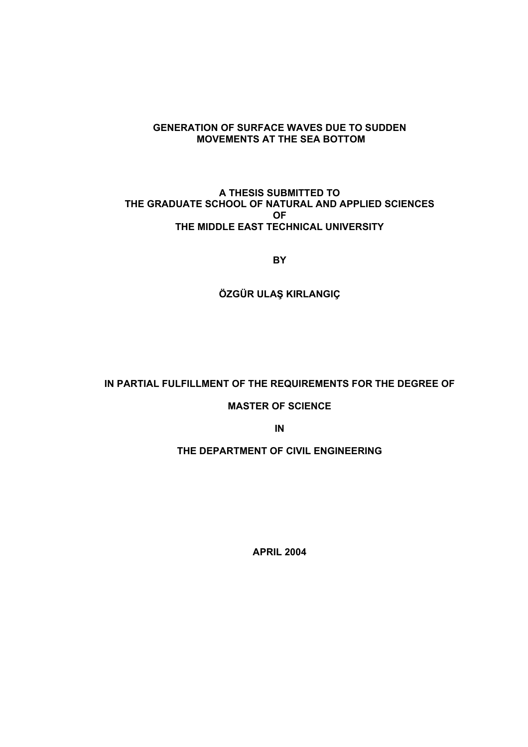#### **GENERATION OF SURFACE WAVES DUE TO SUDDEN MOVEMENTS AT THE SEA BOTTOM**

#### **A THESIS SUBMITTED TO THE GRADUATE SCHOOL OF NATURAL AND APPLIED SCIENCES OF THE MIDDLE EAST TECHNICAL UNIVERSITY**

**BY** 

**ÖZGÜR ULAŞ KIRLANGIÇ** 

#### **IN PARTIAL FULFILLMENT OF THE REQUIREMENTS FOR THE DEGREE OF**

#### **MASTER OF SCIENCE**

**IN** 

#### **THE DEPARTMENT OF CIVIL ENGINEERING**

**APRIL 2004**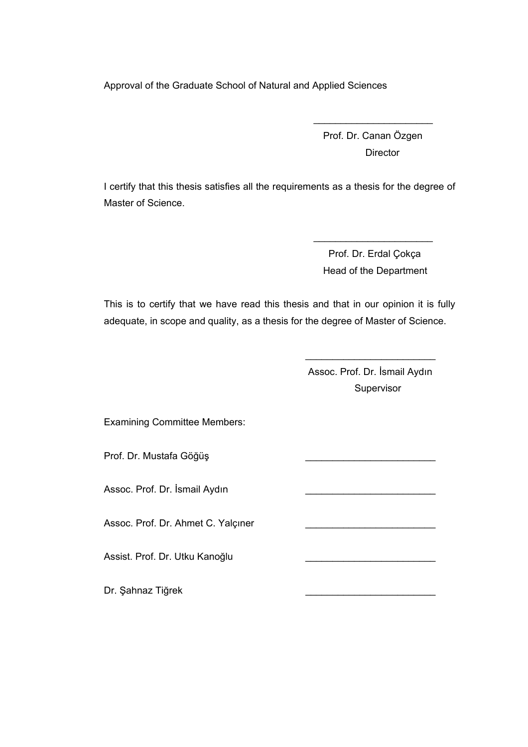Approval of the Graduate School of Natural and Applied Sciences

 Prof. Dr. Canan Özgen **Director** 

I certify that this thesis satisfies all the requirements as a thesis for the degree of Master of Science.

 $\mathcal{L}_\text{max}$  and  $\mathcal{L}_\text{max}$  and  $\mathcal{L}_\text{max}$  and  $\mathcal{L}_\text{max}$  and  $\mathcal{L}_\text{max}$ 

 $\mathcal{L}_\text{max}$  and  $\mathcal{L}_\text{max}$  and  $\mathcal{L}_\text{max}$  and  $\mathcal{L}_\text{max}$  and  $\mathcal{L}_\text{max}$ 

 Prof. Dr. Erdal Çokça Head of the Department

This is to certify that we have read this thesis and that in our opinion it is fully adequate, in scope and quality, as a thesis for the degree of Master of Science.

 $\mathcal{L}_\text{max}$  and  $\mathcal{L}_\text{max}$  and  $\mathcal{L}_\text{max}$  and  $\mathcal{L}_\text{max}$  and  $\mathcal{L}_\text{max}$ 

 Assoc. Prof. Dr. İsmail Aydın Supervisor

Examining Committee Members:

Prof. Dr. Mustafa Göğüş

Assoc. Prof. Dr. İsmail Aydın \_\_\_\_\_\_\_\_\_\_\_\_\_\_\_\_\_\_\_\_\_\_\_\_

Assoc. Prof. Dr. Ahmet C. Yalçıner

Assist. Prof. Dr. Utku Kanoğlu \_\_\_\_\_\_\_\_\_\_\_\_\_\_\_\_\_\_\_\_\_\_\_\_

Dr. Şahnaz Tiğrek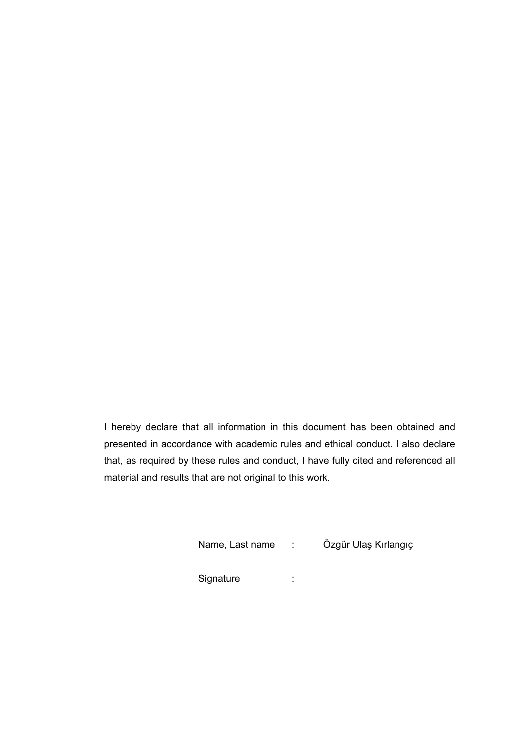I hereby declare that all information in this document has been obtained and presented in accordance with academic rules and ethical conduct. I also declare that, as required by these rules and conduct, I have fully cited and referenced all material and results that are not original to this work.

| Name, Last name | Özgür Ulaş Kırlangıç |  |
|-----------------|----------------------|--|
| Signature       |                      |  |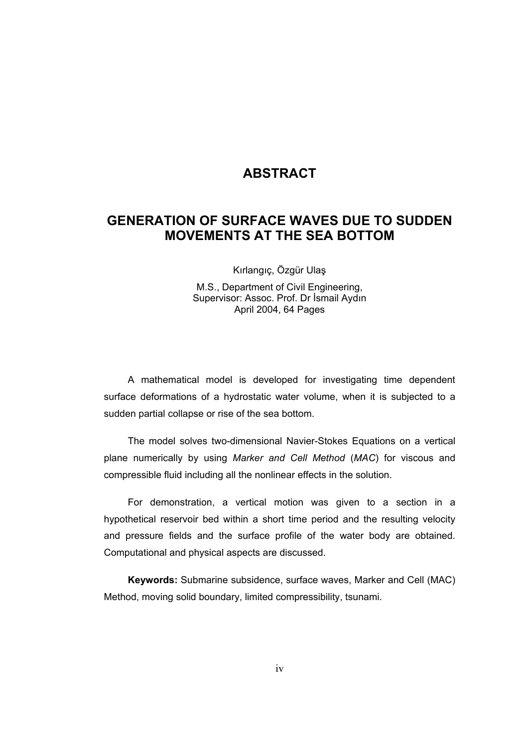## **ABSTRACT**

## **GENERATION OF SURFACE WAVES DUE TO SUDDEN MOVEMENTS AT THE SEA BOTTOM**

Kırlangıç, Özgür Ulaş

M.S., Department of Civil Engineering, Supervisor: Assoc. Prof. Dr İsmail Aydın April 2004, 64 Pages

A mathematical model is developed for investigating time dependent surface deformations of a hydrostatic water volume, when it is subjected to a sudden partial collapse or rise of the sea bottom.

The model solves two-dimensional Navier-Stokes Equations on a vertical plane numerically by using *Marker and Cell Method* (*MAC*) for viscous and compressible fluid including all the nonlinear effects in the solution.

For demonstration, a vertical motion was given to a section in a hypothetical reservoir bed within a short time period and the resulting velocity and pressure fields and the surface profile of the water body are obtained. Computational and physical aspects are discussed.

**Keywords:** Submarine subsidence, surface waves, Marker and Cell (MAC) Method, moving solid boundary, limited compressibility, tsunami.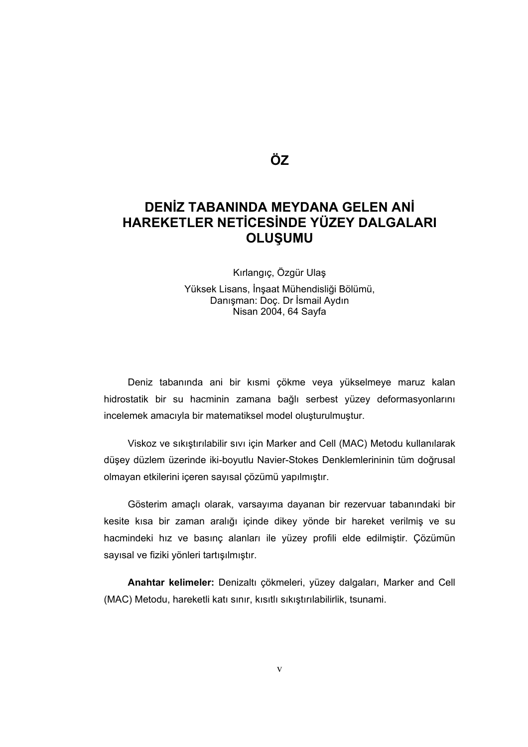**ÖZ** 

# **DENİZ TABANINDA MEYDANA GELEN ANİ HAREKETLER NETİCESİNDE YÜZEY DALGALARI OLUŞUMU**

Kırlangıç, Özgür Ulaş

Yüksek Lisans, İnşaat Mühendisliği Bölümü, Danışman: Doç. Dr İsmail Aydın Nisan 2004, 64 Sayfa

Deniz tabanında ani bir kısmi çökme veya yükselmeye maruz kalan hidrostatik bir su hacminin zamana bağlı serbest yüzey deformasyonlarını incelemek amacıyla bir matematiksel model oluşturulmuştur.

Viskoz ve sıkıştırılabilir sıvı için Marker and Cell (MAC) Metodu kullanılarak düşey düzlem üzerinde iki-boyutlu Navier-Stokes Denklemlerininin tüm doğrusal olmayan etkilerini içeren sayısal çözümü yapılmıştır.

Gösterim amaçlı olarak, varsayıma dayanan bir rezervuar tabanındaki bir kesite kısa bir zaman aralığı içinde dikey yönde bir hareket verilmiş ve su hacmindeki hız ve basınç alanları ile yüzey profili elde edilmiştir. Çözümün sayısal ve fiziki yönleri tartışılmıştır.

**Anahtar kelimeler:** Denizaltı çökmeleri, yüzey dalgaları, Marker and Cell (MAC) Metodu, hareketli katı sınır, kısıtlı sıkıştırılabilirlik, tsunami.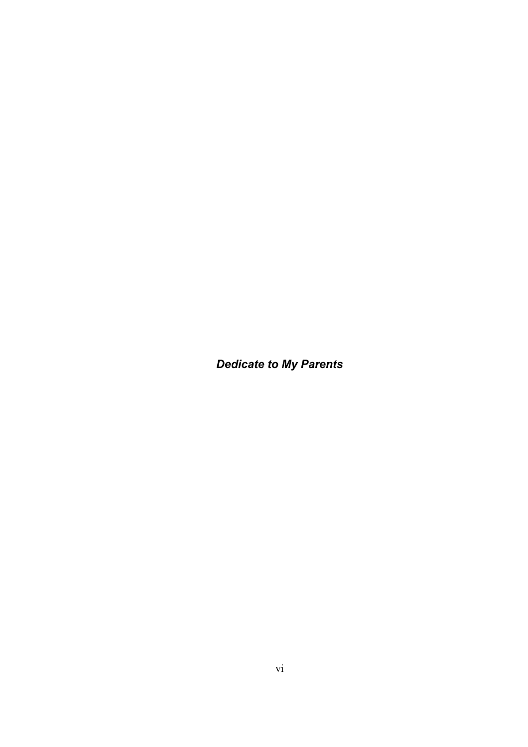*Dedicate to My Parents*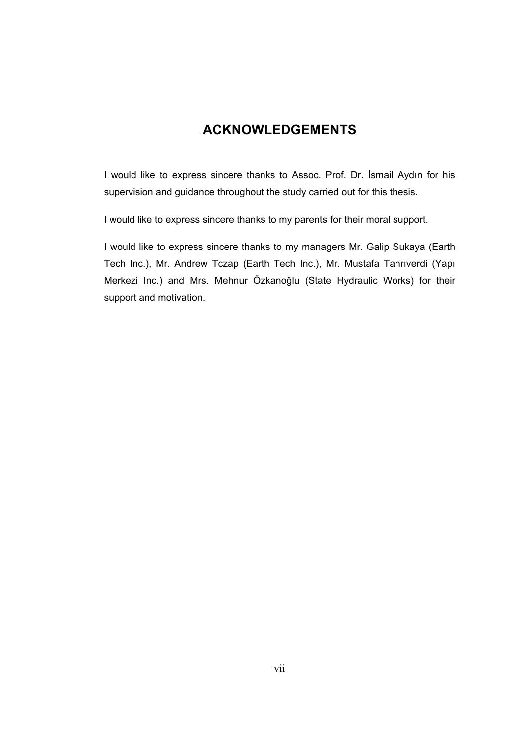# **ACKNOWLEDGEMENTS**

I would like to express sincere thanks to Assoc. Prof. Dr. İsmail Aydın for his supervision and guidance throughout the study carried out for this thesis.

I would like to express sincere thanks to my parents for their moral support.

I would like to express sincere thanks to my managers Mr. Galip Sukaya (Earth Tech Inc.), Mr. Andrew Tczap (Earth Tech Inc.), Mr. Mustafa Tanrıverdi (Yapı Merkezi Inc.) and Mrs. Mehnur Özkanoğlu (State Hydraulic Works) for their support and motivation.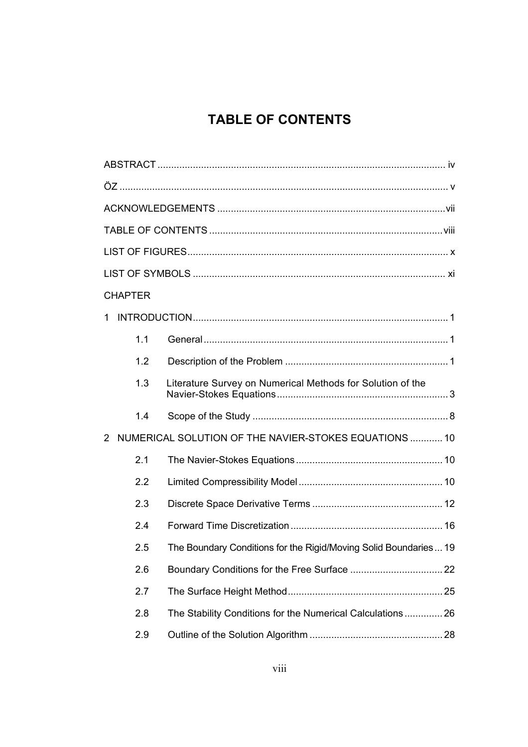# **TABLE OF CONTENTS**

| <b>CHAPTER</b> |                                                                  |  |
|----------------|------------------------------------------------------------------|--|
| 1.             |                                                                  |  |
| 1.1            |                                                                  |  |
| 1.2            |                                                                  |  |
| 1.3            | Literature Survey on Numerical Methods for Solution of the       |  |
| 1.4            |                                                                  |  |
| 2              | NUMERICAL SOLUTION OF THE NAVIER-STOKES EQUATIONS  10            |  |
| 2.1            |                                                                  |  |
| 2.2            |                                                                  |  |
| 2.3            |                                                                  |  |
| 2.4            |                                                                  |  |
| 2.5            | The Boundary Conditions for the Rigid/Moving Solid Boundaries 19 |  |
| 2.6            |                                                                  |  |
| 2.7            |                                                                  |  |
| 2.8            | The Stability Conditions for the Numerical Calculations  26      |  |
| 2.9            |                                                                  |  |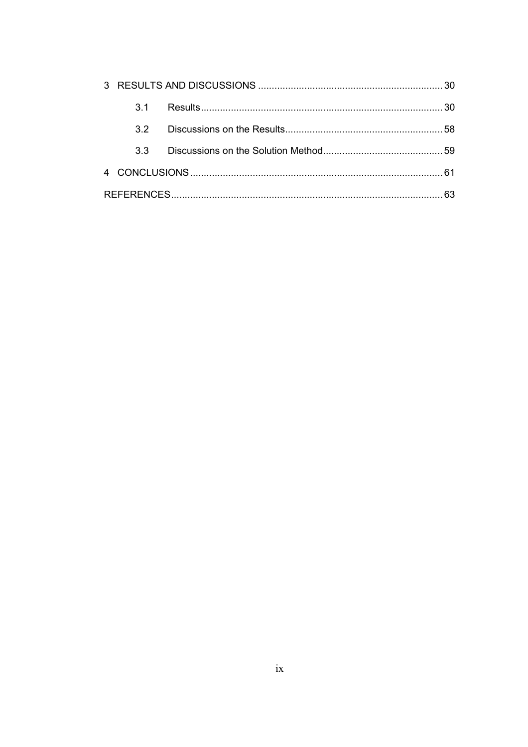| 31              |  |
|-----------------|--|
| 32 <sup>o</sup> |  |
| 3.3             |  |
|                 |  |
|                 |  |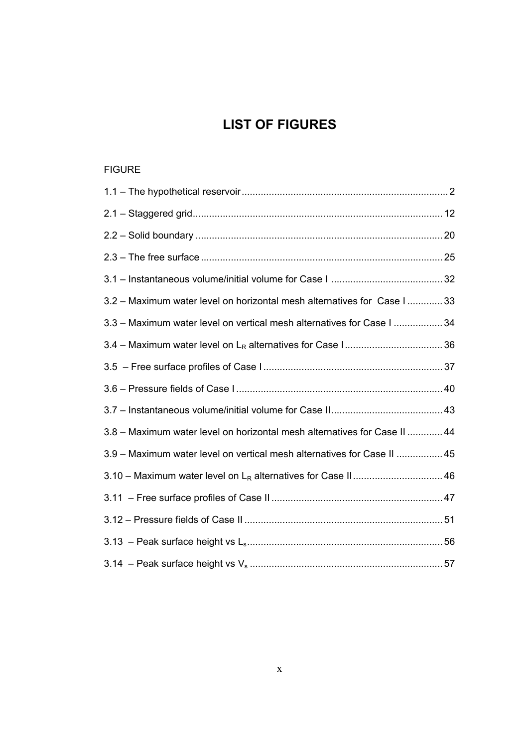# **LIST OF FIGURES**

#### FIGURE

| 3.2 - Maximum water level on horizontal mesh alternatives for Case I  33  |  |
|---------------------------------------------------------------------------|--|
| 3.3 - Maximum water level on vertical mesh alternatives for Case I  34    |  |
|                                                                           |  |
|                                                                           |  |
|                                                                           |  |
|                                                                           |  |
| 3.8 - Maximum water level on horizontal mesh alternatives for Case II  44 |  |
| 3.9 - Maximum water level on vertical mesh alternatives for Case II  45   |  |
|                                                                           |  |
|                                                                           |  |
|                                                                           |  |
|                                                                           |  |
|                                                                           |  |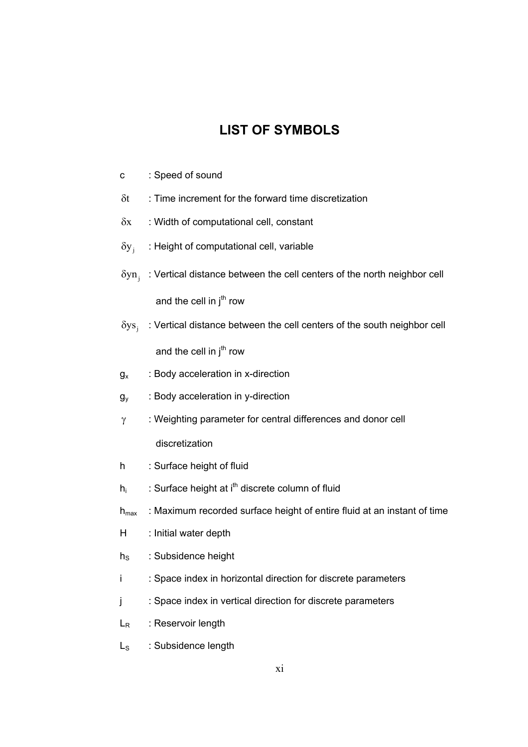# **LIST OF SYMBOLS**

- c : Speed of sound
- $\delta t$  : Time increment for the forward time discretization
- $\delta x$  : Width of computational cell, constant
- $\delta y_i$  : Height of computational cell, variable
- $\delta y$ n : Vertical distance between the cell centers of the north neighbor cell and the cell in  $i<sup>th</sup>$  row
- $\delta$ ys; : Vertical distance between the cell centers of the south neighbor cell and the cell in  $j<sup>th</sup>$  row
- $g_x$  : Body acceleration in x-direction
- $g_v$  : Body acceleration in y-direction
- γ : Weighting parameter for central differences and donor cell

discretization

- h : Surface height of fluid
- $h_i$  : Surface height at i<sup>th</sup> discrete column of fluid
- $h_{\text{max}}$  : Maximum recorded surface height of entire fluid at an instant of time
- H : Initial water depth
- $h_S$  : Subsidence height
- i : Space index in horizontal direction for discrete parameters
- j : Space index in vertical direction for discrete parameters
- $L_R$  : Reservoir length
- $L<sub>s</sub>$  : Subsidence length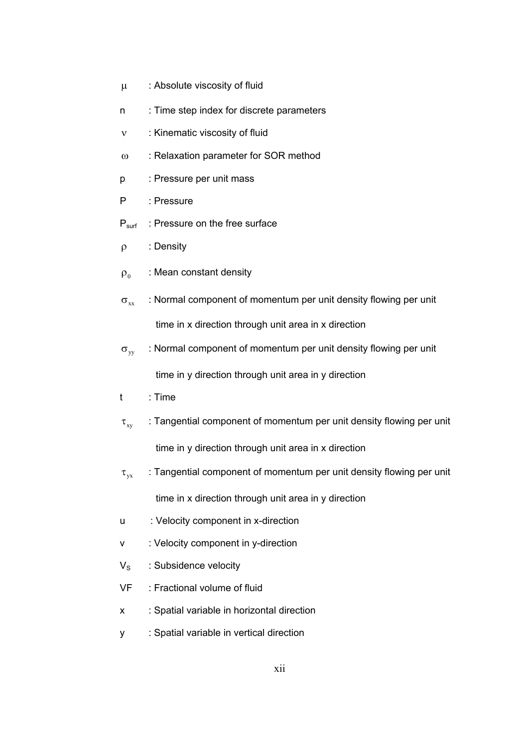- µ : Absolute viscosity of fluid
- n : Time step index for discrete parameters
- ν : Kinematic viscosity of fluid
- ω : Relaxation parameter for SOR method
- p : Pressure per unit mass
- P : Pressure
- P<sub>surf</sub> : Pressure on the free surface
- ρ : Density
- $\rho_0$  : Mean constant density
- $\sigma_{xx}$  : Normal component of momentum per unit density flowing per unit time in x direction through unit area in x direction
- $\sigma_{\text{w}}$  : Normal component of momentum per unit density flowing per unit

time in y direction through unit area in y direction

- t : Time
- $\tau_{xy}$  : Tangential component of momentum per unit density flowing per unit time in y direction through unit area in x direction
- $\tau_{vx}$  : Tangential component of momentum per unit density flowing per unit

time in x direction through unit area in y direction

- u : Velocity component in x-direction
- v : Velocity component in y-direction
- $V_S$  : Subsidence velocity
- VF : Fractional volume of fluid
- x : Spatial variable in horizontal direction
- y : Spatial variable in vertical direction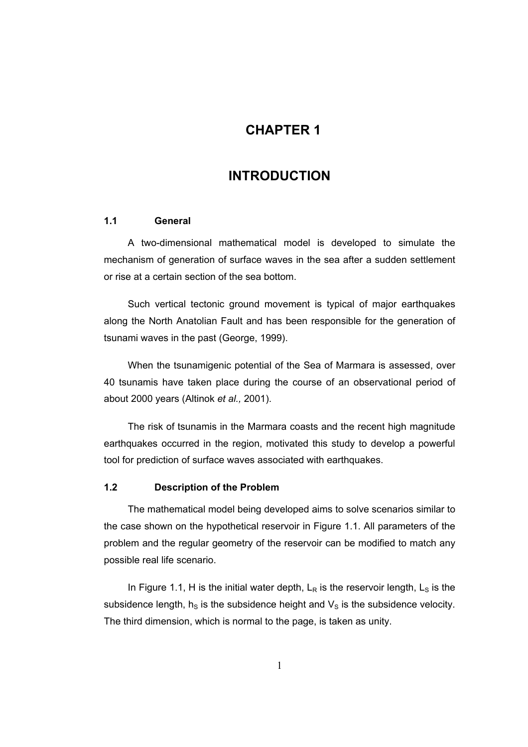### **1CHAPTER 1**

### **INTRODUCTION**

#### **1.1 General**

A two-dimensional mathematical model is developed to simulate the mechanism of generation of surface waves in the sea after a sudden settlement or rise at a certain section of the sea bottom.

Such vertical tectonic ground movement is typical of major earthquakes along the North Anatolian Fault and has been responsible for the generation of tsunami waves in the past (George, 1999).

When the tsunamigenic potential of the Sea of Marmara is assessed, over 40 tsunamis have taken place during the course of an observational period of about 2000 years (Altinok *et al.,* 2001).

The risk of tsunamis in the Marmara coasts and the recent high magnitude earthquakes occurred in the region, motivated this study to develop a powerful tool for prediction of surface waves associated with earthquakes.

#### **1.2 Description of the Problem**

The mathematical model being developed aims to solve scenarios similar to the case shown on the hypothetical reservoir in Figure 1.1. All parameters of the problem and the regular geometry of the reservoir can be modified to match any possible real life scenario.

In Figure 1.1, H is the initial water depth,  $L_R$  is the reservoir length,  $L_S$  is the subsidence length,  $h<sub>S</sub>$  is the subsidence height and  $V<sub>S</sub>$  is the subsidence velocity. The third dimension, which is normal to the page, is taken as unity.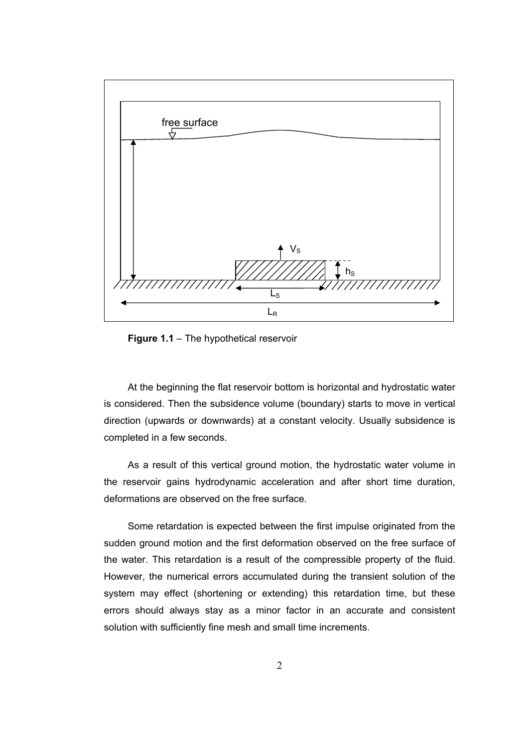

**Figure 1.1** – The hypothetical reservoir

At the beginning the flat reservoir bottom is horizontal and hydrostatic water is considered. Then the subsidence volume (boundary) starts to move in vertical direction (upwards or downwards) at a constant velocity. Usually subsidence is completed in a few seconds.

As a result of this vertical ground motion, the hydrostatic water volume in the reservoir gains hydrodynamic acceleration and after short time duration, deformations are observed on the free surface.

Some retardation is expected between the first impulse originated from the sudden ground motion and the first deformation observed on the free surface of the water. This retardation is a result of the compressible property of the fluid. However, the numerical errors accumulated during the transient solution of the system may effect (shortening or extending) this retardation time, but these errors should always stay as a minor factor in an accurate and consistent solution with sufficiently fine mesh and small time increments.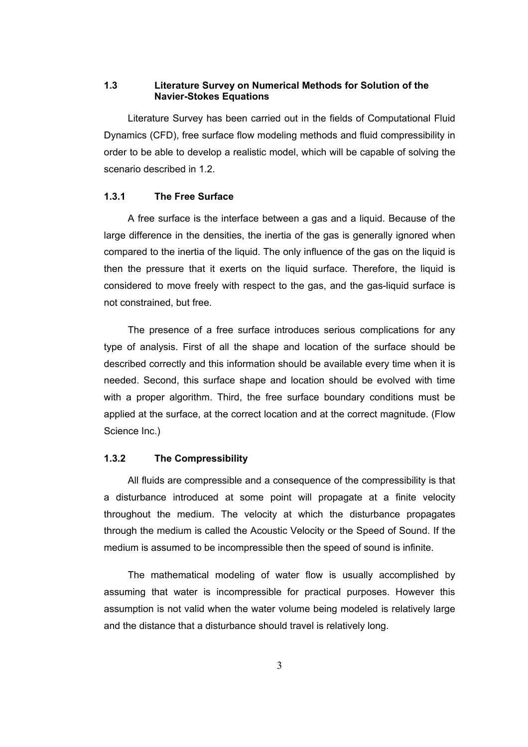#### **1.3 Literature Survey on Numerical Methods for Solution of the Navier-Stokes Equations**

Literature Survey has been carried out in the fields of Computational Fluid Dynamics (CFD), free surface flow modeling methods and fluid compressibility in order to be able to develop a realistic model, which will be capable of solving the scenario described in 1.2.

#### **1.3.1 The Free Surface**

A free surface is the interface between a gas and a liquid. Because of the large difference in the densities, the inertia of the gas is generally ignored when compared to the inertia of the liquid. The only influence of the gas on the liquid is then the pressure that it exerts on the liquid surface. Therefore, the liquid is considered to move freely with respect to the gas, and the gas-liquid surface is not constrained, but free.

The presence of a free surface introduces serious complications for any type of analysis. First of all the shape and location of the surface should be described correctly and this information should be available every time when it is needed. Second, this surface shape and location should be evolved with time with a proper algorithm. Third, the free surface boundary conditions must be applied at the surface, at the correct location and at the correct magnitude. (Flow Science Inc.)

#### **1.3.2 The Compressibility**

All fluids are compressible and a consequence of the compressibility is that a disturbance introduced at some point will propagate at a finite velocity throughout the medium. The velocity at which the disturbance propagates through the medium is called the Acoustic Velocity or the Speed of Sound. If the medium is assumed to be incompressible then the speed of sound is infinite.

The mathematical modeling of water flow is usually accomplished by assuming that water is incompressible for practical purposes. However this assumption is not valid when the water volume being modeled is relatively large and the distance that a disturbance should travel is relatively long.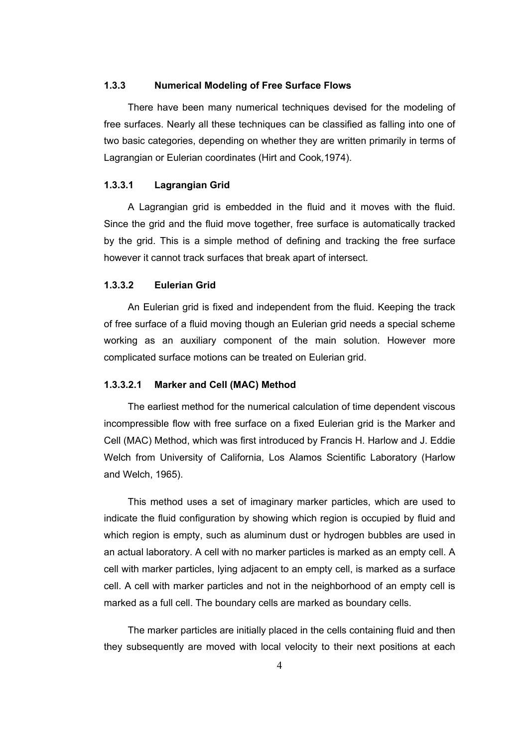#### **1.3.3 Numerical Modeling of Free Surface Flows**

There have been many numerical techniques devised for the modeling of free surfaces. Nearly all these techniques can be classified as falling into one of two basic categories, depending on whether they are written primarily in terms of Lagrangian or Eulerian coordinates (Hirt and Cook*,*1974).

#### **1.3.3.1 Lagrangian Grid**

A Lagrangian grid is embedded in the fluid and it moves with the fluid. Since the grid and the fluid move together, free surface is automatically tracked by the grid. This is a simple method of defining and tracking the free surface however it cannot track surfaces that break apart of intersect.

#### **1.3.3.2 Eulerian Grid**

An Eulerian grid is fixed and independent from the fluid. Keeping the track of free surface of a fluid moving though an Eulerian grid needs a special scheme working as an auxiliary component of the main solution. However more complicated surface motions can be treated on Eulerian grid.

#### **1.3.3.2.1 Marker and Cell (MAC) Method**

The earliest method for the numerical calculation of time dependent viscous incompressible flow with free surface on a fixed Eulerian grid is the Marker and Cell (MAC) Method, which was first introduced by Francis H. Harlow and J. Eddie Welch from University of California, Los Alamos Scientific Laboratory (Harlow and Welch, 1965).

This method uses a set of imaginary marker particles, which are used to indicate the fluid configuration by showing which region is occupied by fluid and which region is empty, such as aluminum dust or hydrogen bubbles are used in an actual laboratory. A cell with no marker particles is marked as an empty cell. A cell with marker particles, lying adjacent to an empty cell, is marked as a surface cell. A cell with marker particles and not in the neighborhood of an empty cell is marked as a full cell. The boundary cells are marked as boundary cells.

The marker particles are initially placed in the cells containing fluid and then they subsequently are moved with local velocity to their next positions at each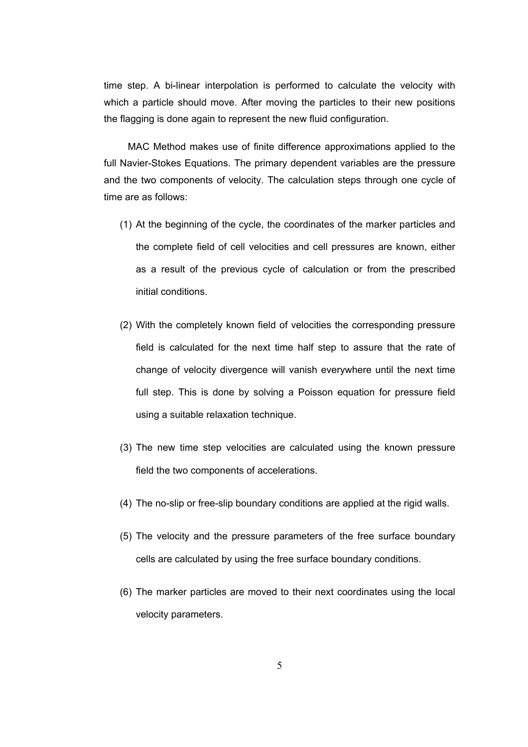time step. A bi-linear interpolation is performed to calculate the velocity with which a particle should move. After moving the particles to their new positions the flagging is done again to represent the new fluid configuration.

MAC Method makes use of finite difference approximations applied to the full Navier-Stokes Equations. The primary dependent variables are the pressure and the two components of velocity. The calculation steps through one cycle of time are as follows:

- (1) At the beginning of the cycle, the coordinates of the marker particles and the complete field of cell velocities and cell pressures are known, either as a result of the previous cycle of calculation or from the prescribed initial conditions.
- (2) With the completely known field of velocities the corresponding pressure field is calculated for the next time half step to assure that the rate of change of velocity divergence will vanish everywhere until the next time full step. This is done by solving a Poisson equation for pressure field using a suitable relaxation technique.
- (3) The new time step velocities are calculated using the known pressure field the two components of accelerations.
- (4) The no-slip or free-slip boundary conditions are applied at the rigid walls.
- (5) The velocity and the pressure parameters of the free surface boundary cells are calculated by using the free surface boundary conditions.
- (6) The marker particles are moved to their next coordinates using the local velocity parameters.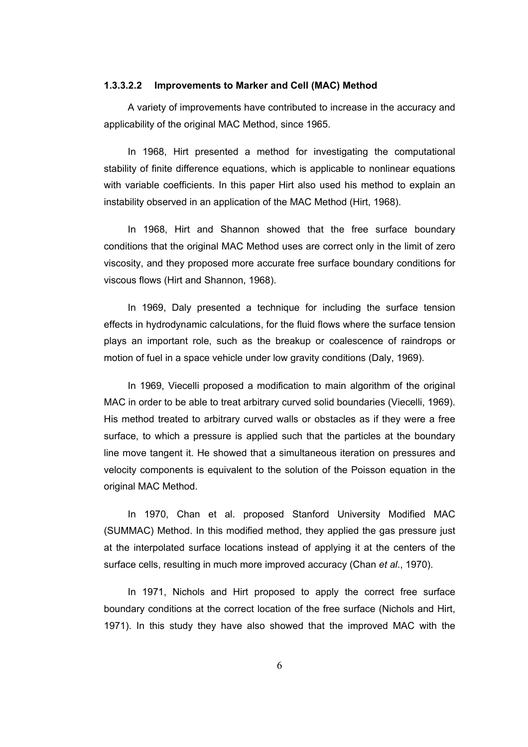#### **1.3.3.2.2 Improvements to Marker and Cell (MAC) Method**

A variety of improvements have contributed to increase in the accuracy and applicability of the original MAC Method, since 1965.

In 1968, Hirt presented a method for investigating the computational stability of finite difference equations, which is applicable to nonlinear equations with variable coefficients. In this paper Hirt also used his method to explain an instability observed in an application of the MAC Method (Hirt, 1968).

In 1968, Hirt and Shannon showed that the free surface boundary conditions that the original MAC Method uses are correct only in the limit of zero viscosity, and they proposed more accurate free surface boundary conditions for viscous flows (Hirt and Shannon, 1968).

In 1969, Daly presented a technique for including the surface tension effects in hydrodynamic calculations, for the fluid flows where the surface tension plays an important role, such as the breakup or coalescence of raindrops or motion of fuel in a space vehicle under low gravity conditions (Daly, 1969).

In 1969, Viecelli proposed a modification to main algorithm of the original MAC in order to be able to treat arbitrary curved solid boundaries (Viecelli, 1969). His method treated to arbitrary curved walls or obstacles as if they were a free surface, to which a pressure is applied such that the particles at the boundary line move tangent it. He showed that a simultaneous iteration on pressures and velocity components is equivalent to the solution of the Poisson equation in the original MAC Method.

In 1970, Chan et al. proposed Stanford University Modified MAC (SUMMAC) Method. In this modified method, they applied the gas pressure just at the interpolated surface locations instead of applying it at the centers of the surface cells, resulting in much more improved accuracy (Chan *et al*., 1970).

In 1971, Nichols and Hirt proposed to apply the correct free surface boundary conditions at the correct location of the free surface (Nichols and Hirt, 1971). In this study they have also showed that the improved MAC with the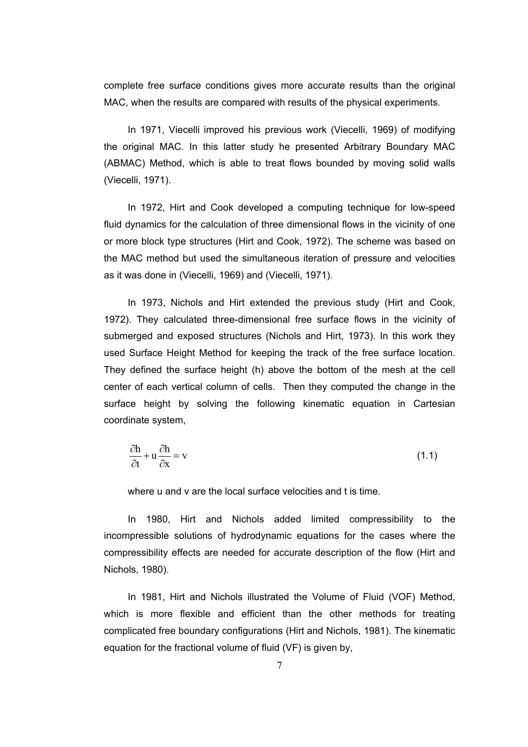complete free surface conditions gives more accurate results than the original MAC, when the results are compared with results of the physical experiments.

In 1971, Viecelli improved his previous work (Viecelli, 1969) of modifying the original MAC. In this latter study he presented Arbitrary Boundary MAC (ABMAC) Method, which is able to treat flows bounded by moving solid walls (Viecelli, 1971).

In 1972, Hirt and Cook developed a computing technique for low-speed fluid dynamics for the calculation of three dimensional flows in the vicinity of one or more block type structures (Hirt and Cook, 1972). The scheme was based on the MAC method but used the simultaneous iteration of pressure and velocities as it was done in (Viecelli, 1969) and (Viecelli, 1971).

In 1973, Nichols and Hirt extended the previous study (Hirt and Cook, 1972). They calculated three-dimensional free surface flows in the vicinity of submerged and exposed structures (Nichols and Hirt, 1973). In this work they used Surface Height Method for keeping the track of the free surface location. They defined the surface height (h) above the bottom of the mesh at the cell center of each vertical column of cells. Then they computed the change in the surface height by solving the following kinematic equation in Cartesian coordinate system,

$$
\frac{\partial \mathbf{h}}{\partial t} + \mathbf{u} \frac{\partial \mathbf{h}}{\partial x} = \mathbf{v}
$$
 (1.1)

where u and y are the local surface velocities and t is time.

In 1980, Hirt and Nichols added limited compressibility to the incompressible solutions of hydrodynamic equations for the cases where the compressibility effects are needed for accurate description of the flow (Hirt and Nichols, 1980).

In 1981, Hirt and Nichols illustrated the Volume of Fluid (VOF) Method, which is more flexible and efficient than the other methods for treating complicated free boundary configurations (Hirt and Nichols, 1981). The kinematic equation for the fractional volume of fluid (VF) is given by,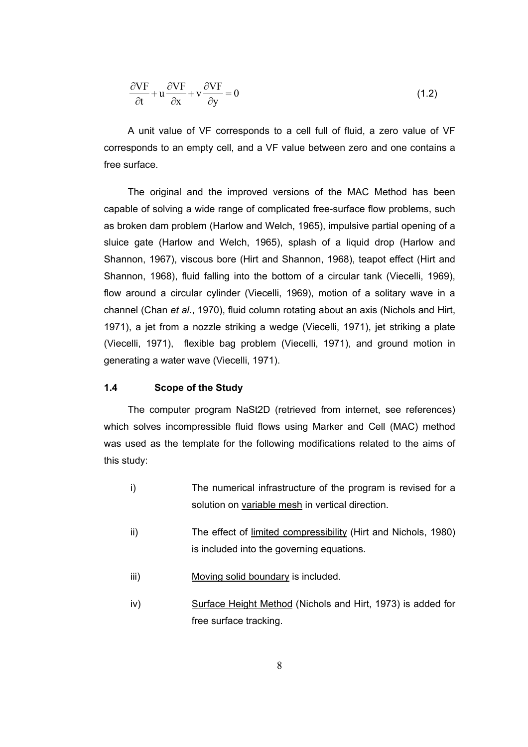$$
\frac{\partial VF}{\partial t} + u \frac{\partial VF}{\partial x} + v \frac{\partial VF}{\partial y} = 0
$$
\n(1.2)

A unit value of VF corresponds to a cell full of fluid, a zero value of VF corresponds to an empty cell, and a VF value between zero and one contains a free surface.

The original and the improved versions of the MAC Method has been capable of solving a wide range of complicated free-surface flow problems, such as broken dam problem (Harlow and Welch, 1965), impulsive partial opening of a sluice gate (Harlow and Welch, 1965), splash of a liquid drop (Harlow and Shannon, 1967), viscous bore (Hirt and Shannon, 1968), teapot effect (Hirt and Shannon, 1968), fluid falling into the bottom of a circular tank (Viecelli, 1969), flow around a circular cylinder (Viecelli, 1969), motion of a solitary wave in a channel (Chan *et al*., 1970), fluid column rotating about an axis (Nichols and Hirt, 1971), a jet from a nozzle striking a wedge (Viecelli, 1971), jet striking a plate (Viecelli, 1971), flexible bag problem (Viecelli, 1971), and ground motion in generating a water wave (Viecelli, 1971).

#### **1.4 Scope of the Study**

The computer program NaSt2D (retrieved from internet, see references) which solves incompressible fluid flows using Marker and Cell (MAC) method was used as the template for the following modifications related to the aims of this study:

- i) The numerical infrastructure of the program is revised for a solution on variable mesh in vertical direction.
- ii) The effect of limited compressibility (Hirt and Nichols, 1980) is included into the governing equations.
- iii) Moving solid boundary is included.
- iv) Surface Height Method (Nichols and Hirt, 1973) is added for free surface tracking.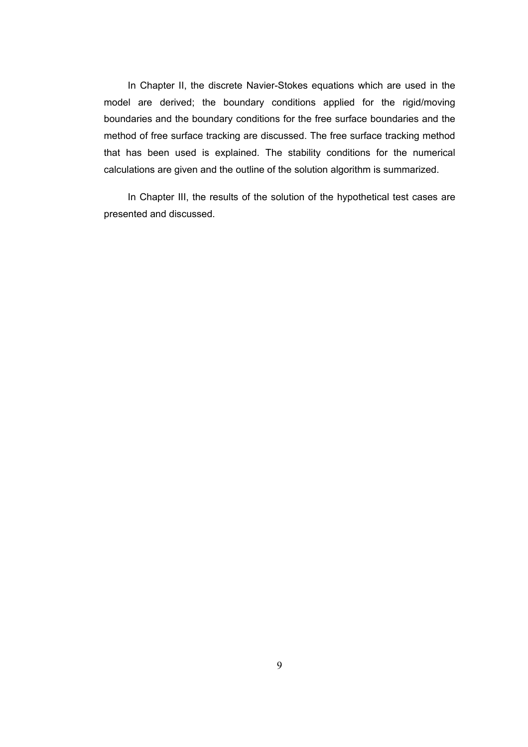In Chapter II, the discrete Navier-Stokes equations which are used in the model are derived; the boundary conditions applied for the rigid/moving boundaries and the boundary conditions for the free surface boundaries and the method of free surface tracking are discussed. The free surface tracking method that has been used is explained. The stability conditions for the numerical calculations are given and the outline of the solution algorithm is summarized.

In Chapter III, the results of the solution of the hypothetical test cases are presented and discussed.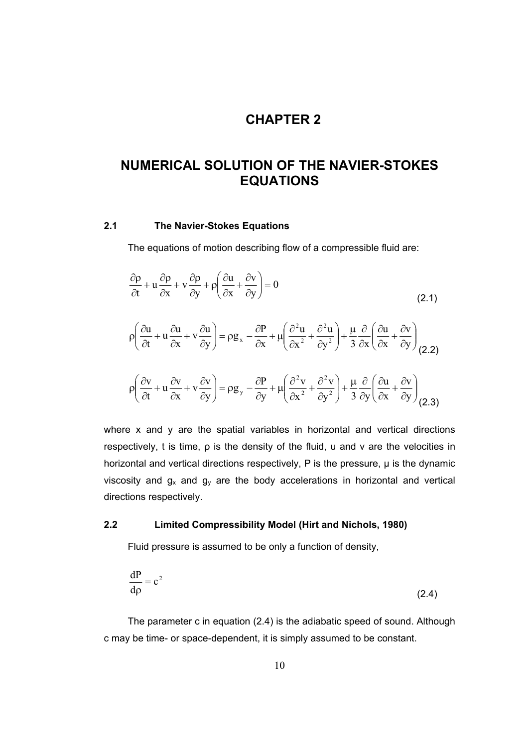## **2CHAPTER 2**

## **NUMERICAL SOLUTION OF THE NAVIER-STOKES EQUATIONS**

#### **2.1 The Navier-Stokes Equations**

The equations of motion describing flow of a compressible fluid are:

$$
\frac{\partial \rho}{\partial t} + u \frac{\partial \rho}{\partial x} + v \frac{\partial \rho}{\partial y} + \rho \left( \frac{\partial u}{\partial x} + \frac{\partial v}{\partial y} \right) = 0
$$
\n(2.1)  
\n
$$
\rho \left( \frac{\partial u}{\partial t} + u \frac{\partial u}{\partial x} + v \frac{\partial u}{\partial y} \right) = \rho g_x - \frac{\partial P}{\partial x} + \mu \left( \frac{\partial^2 u}{\partial x^2} + \frac{\partial^2 u}{\partial y^2} \right) + \frac{\mu}{3} \frac{\partial}{\partial x} \left( \frac{\partial u}{\partial x} + \frac{\partial v}{\partial y} \right)
$$
\n(2.2)  
\n
$$
\rho \left( \frac{\partial v}{\partial t} + u \frac{\partial v}{\partial x} + v \frac{\partial v}{\partial y} \right) = \rho g_y - \frac{\partial P}{\partial y} + \mu \left( \frac{\partial^2 v}{\partial x^2} + \frac{\partial^2 v}{\partial y^2} \right) + \frac{\mu}{3} \frac{\partial}{\partial y} \left( \frac{\partial u}{\partial x} + \frac{\partial v}{\partial y} \right)
$$
\n(2.3)

where x and y are the spatial variables in horizontal and vertical directions respectively, t is time, ρ is the density of the fluid, u and v are the velocities in horizontal and vertical directions respectively,  $P$  is the pressure,  $\mu$  is the dynamic viscosity and  $g_x$  and  $g_y$  are the body accelerations in horizontal and vertical directions respectively.

#### **2.2 Limited Compressibility Model (Hirt and Nichols, 1980)**

Fluid pressure is assumed to be only a function of density,

$$
\frac{dP}{d\rho} = c^2 \tag{2.4}
$$

The parameter c in equation (2.4) is the adiabatic speed of sound. Although c may be time- or space-dependent, it is simply assumed to be constant.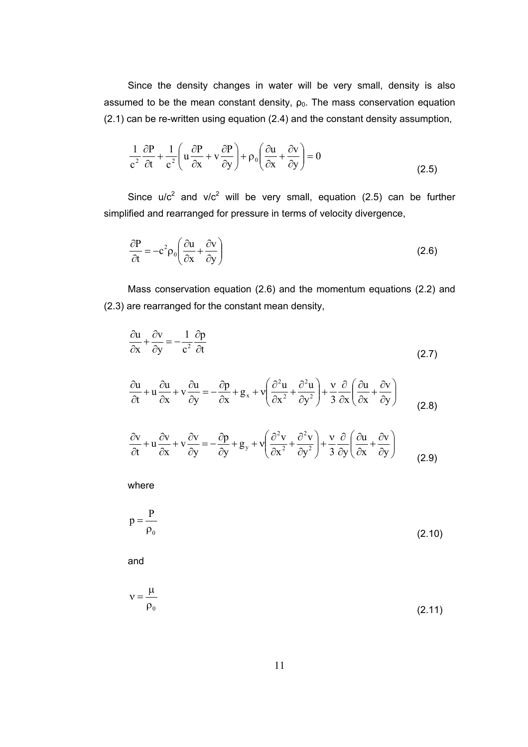Since the density changes in water will be very small, density is also assumed to be the mean constant density,  $\rho_0$ . The mass conservation equation (2.1) can be re-written using equation (2.4) and the constant density assumption,

$$
\frac{1}{c^2} \frac{\partial P}{\partial t} + \frac{1}{c^2} \left( u \frac{\partial P}{\partial x} + v \frac{\partial P}{\partial y} \right) + \rho_0 \left( \frac{\partial u}{\partial x} + \frac{\partial v}{\partial y} \right) = 0
$$
\n(2.5)

Since  $u/c^2$  and  $v/c^2$  will be very small, equation (2.5) can be further simplified and rearranged for pressure in terms of velocity divergence,

$$
\frac{\partial P}{\partial t} = -c^2 \rho_0 \left( \frac{\partial u}{\partial x} + \frac{\partial v}{\partial y} \right)
$$
 (2.6)

Mass conservation equation (2.6) and the momentum equations (2.2) and (2.3) are rearranged for the constant mean density,

$$
\frac{\partial u}{\partial x} + \frac{\partial v}{\partial y} = -\frac{1}{c^2} \frac{\partial p}{\partial t}
$$
 (2.7)

$$
\frac{\partial u}{\partial t} + u \frac{\partial u}{\partial x} + v \frac{\partial u}{\partial y} = -\frac{\partial p}{\partial x} + g_x + v \left( \frac{\partial^2 u}{\partial x^2} + \frac{\partial^2 u}{\partial y^2} \right) + \frac{v}{3} \frac{\partial}{\partial x} \left( \frac{\partial u}{\partial x} + \frac{\partial v}{\partial y} \right)
$$
(2.8)

$$
\frac{\partial v}{\partial t} + u \frac{\partial v}{\partial x} + v \frac{\partial v}{\partial y} = -\frac{\partial p}{\partial y} + g_y + v \left( \frac{\partial^2 v}{\partial x^2} + \frac{\partial^2 v}{\partial y^2} \right) + \frac{v}{3} \frac{\partial}{\partial y} \left( \frac{\partial u}{\partial x} + \frac{\partial v}{\partial y} \right)
$$
(2.9)

where

$$
p = \frac{P}{\rho_0} \tag{2.10}
$$

and

$$
v = \frac{\mu}{\rho_0} \tag{2.11}
$$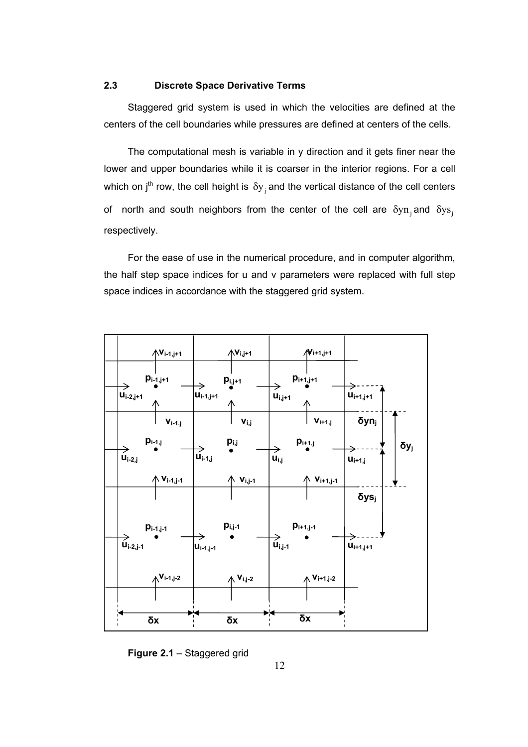#### **2.3 Discrete Space Derivative Terms**

Staggered grid system is used in which the velocities are defined at the centers of the cell boundaries while pressures are defined at centers of the cells.

The computational mesh is variable in  $\nu$  direction and it gets finer near the lower and upper boundaries while it is coarser in the interior regions. For a cell which on j<sup>th</sup> row, the cell height is  $\delta y_i$  and the vertical distance of the cell centers of north and south neighbors from the center of the cell are  $\delta y_n$  and  $\delta y_s$ . respectively.

For the ease of use in the numerical procedure, and in computer algorithm, the half step space indices for u and v parameters were replaced with full step space indices in accordance with the staggered grid system.



**Figure 2.1** – Staggered grid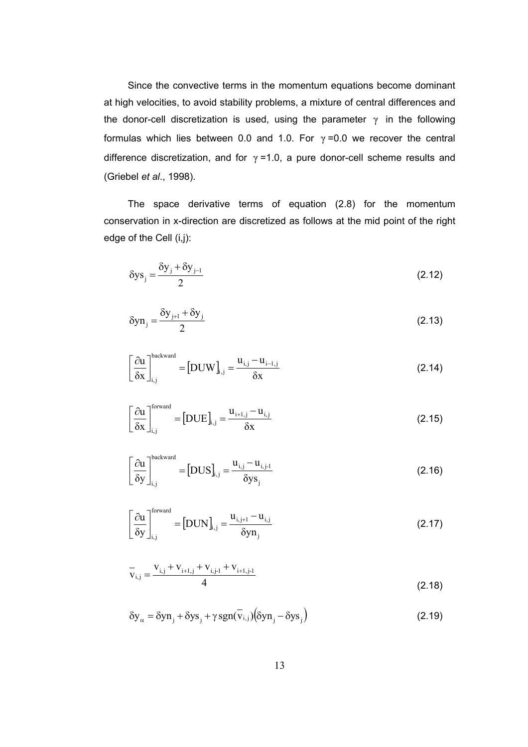Since the convective terms in the momentum equations become dominant at high velocities, to avoid stability problems, a mixture of central differences and the donor-cell discretization is used, using the parameter  $\gamma$  in the following formulas which lies between 0.0 and 1.0. For  $\gamma$  =0.0 we recover the central difference discretization, and for  $\gamma$  =1.0, a pure donor-cell scheme results and (Griebel *et al*., 1998).

The space derivative terms of equation (2.8) for the momentum conservation in x-direction are discretized as follows at the mid point of the right edge of the Cell (i,j):

$$
\delta y s_j = \frac{\delta y_j + \delta y_{j-1}}{2} \tag{2.12}
$$

$$
\delta y n_j = \frac{\delta y_{j+1} + \delta y_j}{2} \tag{2.13}
$$

$$
\left[\frac{\partial u}{\partial x}\right]_{i,j}^{backward} = [DUW]_{i,j} = \frac{u_{i,j} - u_{i-1,j}}{\delta x}
$$
\n(2.14)

$$
\left[\frac{\partial \mathbf{u}}{\partial \mathbf{x}}\right]_{i,j}^{\text{forward}} = [\mathbf{DUE}]_{i,j} = \frac{\mathbf{u}_{i+1,j} - \mathbf{u}_{i,j}}{\delta \mathbf{x}} \tag{2.15}
$$

$$
\left[\frac{\partial u}{\partial y}\right]_{i,j}^{\text{backward}} = [DUS]_{i,j} = \frac{u_{i,j} - u_{i,j-1}}{\delta y s_j}
$$
\n(2.16)

$$
\left[\frac{\partial \mathbf{u}}{\partial \mathbf{y}}\right]_{i,j}^{\text{forward}} = \left[\text{DUN}\right]_{i,j} = \frac{\mathbf{u}_{i,j+1} - \mathbf{u}_{i,j}}{\delta \mathbf{y} \mathbf{n}_j}
$$
(2.17)

$$
\overline{\mathbf{v}}_{i,j} = \frac{\mathbf{v}_{i,j} + \mathbf{v}_{i+1,j} + \mathbf{v}_{i,j-1} + \mathbf{v}_{i+1,j-1}}{4}
$$
\n(2.18)

$$
\delta y_{\alpha} = \delta y n_j + \delta y s_j + \gamma sgn(\bar{v}_{i,j}) (\delta y n_j - \delta y s_j)
$$
 (2.19)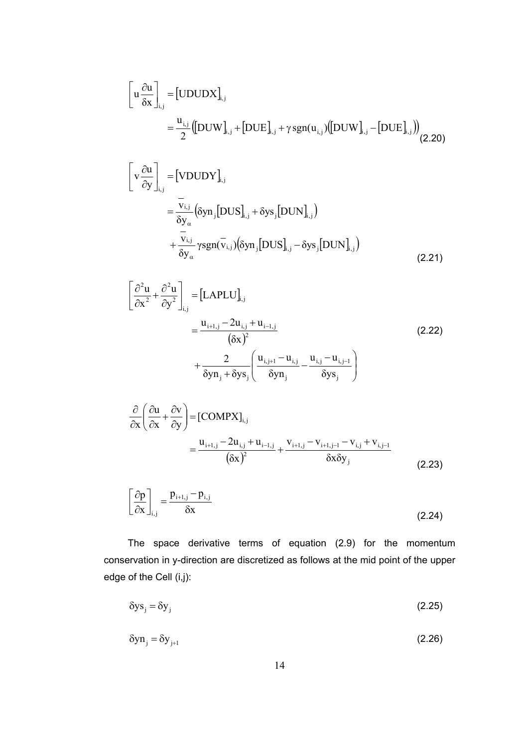$$
\begin{bmatrix}\n\mathbf{u} \frac{\partial \mathbf{u}}{\partial \mathbf{x}}\n\end{bmatrix}_{i,j} = \begin{bmatrix}\n\text{UDUDX}\n\end{bmatrix}_{i,j}\n= \frac{\mathbf{u}_{i,j}}{2} \left(\begin{bmatrix}\n\text{DUW}\n\end{bmatrix}_{i,j} + \begin{bmatrix}\n\text{DUE}\n\end{bmatrix}_{i,j} + \gamma \, \text{sgn}(\mathbf{u}_{i,j}) \left(\begin{bmatrix}\n\text{DUW}\n\end{bmatrix}_{i,j} - \begin{bmatrix}\n\text{DUE}\n\end{bmatrix}_{i,j}\right)\n\tag{2.20}
$$

$$
\begin{bmatrix}\n\mathbf{v} \frac{\partial \mathbf{u}}{\partial \mathbf{y}}\n\end{bmatrix}_{i,j} = \begin{bmatrix}\n\text{VDUDY}\n\end{bmatrix}_{i,j}\n= \frac{\mathbf{v}_{i,j}}{\delta \mathbf{y}_{\alpha}} (\delta \mathbf{y} \mathbf{n}_{j} [\text{DUS}]_{i,j} + \delta \mathbf{y} \mathbf{s}_{j} [\text{DUN}]_{i,j})\n+ \frac{\mathbf{v}_{i,j}}{\delta \mathbf{y}_{\alpha}} \gamma \text{sgn}(\mathbf{v}_{i,j}) (\delta \mathbf{y} \mathbf{n}_{j} [\text{DUS}]_{i,j} - \delta \mathbf{y} \mathbf{s}_{j} [\text{DUN}]_{i,j})
$$
\n(2.21)

$$
\left[ \frac{\partial^2 u}{\partial x^2} + \frac{\partial^2 u}{\partial y^2} \right]_{i,j} = \left[ LAPLU \right]_{i,j} \n= \frac{u_{i+1,j} - 2u_{i,j} + u_{i-1,j}}{(\delta x)^2} \n+ \frac{2}{\delta y n_j + \delta y s_j} \left( \frac{u_{i,j+1} - u_{i,j}}{\delta y n_j} - \frac{u_{i,j} - u_{i,j-1}}{\delta y s_j} \right)
$$
\n(2.22)

$$
\frac{\partial}{\partial x} \left( \frac{\partial u}{\partial x} + \frac{\partial v}{\partial y} \right) = \left[ \text{COMPX} \right]_{i,j} \n= \frac{u_{i+1,j} - 2u_{i,j} + u_{i-1,j}}{( \delta x)^2} + \frac{v_{i+1,j} - v_{i+1,j-1} - v_{i,j} + v_{i,j-1}}{\delta x \delta y_j}
$$
\n(2.23)

$$
\left[\frac{\partial \mathbf{p}}{\partial \mathbf{x}}\right]_{i,j} = \frac{\mathbf{p}_{i+1,j} - \mathbf{p}_{i,j}}{\delta \mathbf{x}}
$$
\n(2.24)

The space derivative terms of equation (2.9) for the momentum conservation in y-direction are discretized as follows at the mid point of the upper edge of the Cell (i,j):

$$
\delta y s_j = \delta y_j \tag{2.25}
$$

$$
\delta y n_j = \delta y_{j+1} \tag{2.26}
$$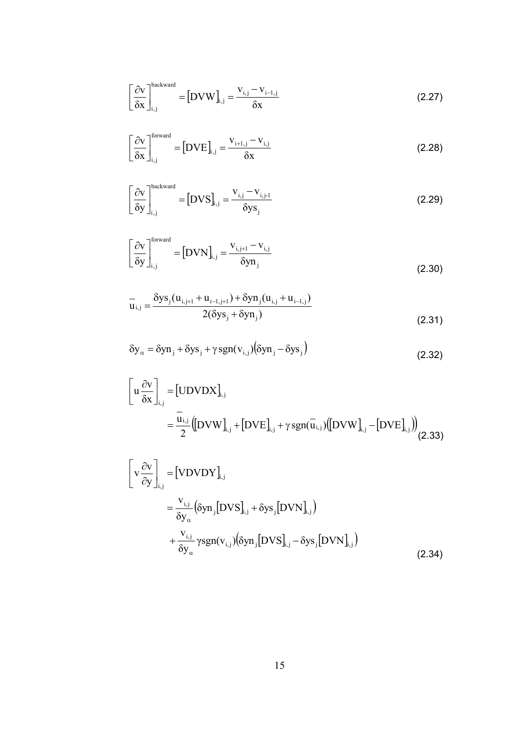$$
\left[\frac{\partial \mathbf{v}}{\partial \mathbf{x}}\right]_{i,j}^{\text{backward}} = [\mathbf{D} \mathbf{V} \mathbf{W}]_{i,j} = \frac{\mathbf{v}_{i,j} - \mathbf{v}_{i-1,j}}{\delta \mathbf{x}}
$$
(2.27)

$$
\left[\frac{\partial \mathbf{v}}{\partial \mathbf{x}}\right]_{i,j}^{\text{forward}} = [\mathbf{DVE}]_{i,j} = \frac{\mathbf{v}_{i+1,j} - \mathbf{v}_{i,j}}{\delta \mathbf{x}} \tag{2.28}
$$

$$
\left[\frac{\partial \mathbf{v}}{\delta \mathbf{y}}\right]_{i,j}^{backward} = \left[\text{DVS}\right]_{i,j} = \frac{\mathbf{v}_{i,j} - \mathbf{v}_{i,j-1}}{\delta \mathbf{y} \mathbf{s}_j}
$$
(2.29)

$$
\left[\frac{\partial \mathbf{v}}{\partial \mathbf{y}}\right]_{i,j}^{\text{forward}} = [\mathbf{D} \mathbf{V} \mathbf{N}]_{i,j} = \frac{\mathbf{v}_{i,j+1} - \mathbf{v}_{i,j}}{\delta \mathbf{y} \mathbf{n}_j}
$$
(2.30)

$$
\overline{u}_{i,j} = \frac{\delta y s_j (u_{i,j+1} + u_{i-1,j+1}) + \delta y n_j (u_{i,j} + u_{i-1,j})}{2(\delta y s_j + \delta y n_j)}
$$
(2.31)

$$
\delta y_{\alpha} = \delta y n_j + \delta y s_j + \gamma sgn(v_{i,j}) (\delta y n_j - \delta y s_j)
$$
\n(2.32)

$$
\begin{bmatrix}\n\mathbf{u} \frac{\partial \mathbf{v}}{\partial \mathbf{x}}\n\end{bmatrix}_{i,j} = \begin{bmatrix}\n\text{UDVDX}\n\end{bmatrix}_{i,j} + \begin{bmatrix}\n\text{DVE}\n\end{bmatrix}_{i,j} + \gamma \text{sgn}(\mathbf{u}_{i,j}) \left(\begin{bmatrix}\n\text{DVW}\n\end{bmatrix}_{i,j} - \begin{bmatrix}\n\text{DVE}\n\end{bmatrix}_{i,j}\right)\n\tag{2.33}
$$

$$
\begin{aligned}\n\left[\mathbf{v}\frac{\partial\mathbf{v}}{\partial\mathbf{y}}\right]_{i,j} &= \left[\mathbf{VDVDY}\right]_{i,j} \\
&= \frac{\mathbf{v}_{i,j}}{\delta\mathbf{y}_{\alpha}} \left(\delta\mathbf{yn}_{j}\left[\mathbf{DVS}\right]_{i,j} + \delta\mathbf{ys}_{j}\left[\mathbf{DVN}\right]_{i,j}\right) \\
&\quad + \frac{\mathbf{v}_{i,j}}{\delta\mathbf{y}_{\alpha}} \gamma\text{sgn}(\mathbf{v}_{i,j}) \left(\delta\mathbf{yn}_{j}\left[\mathbf{DVS}\right]_{i,j} - \delta\mathbf{ys}_{j}\left[\mathbf{DVN}\right]_{i,j}\right)\n\end{aligned} \tag{2.34}
$$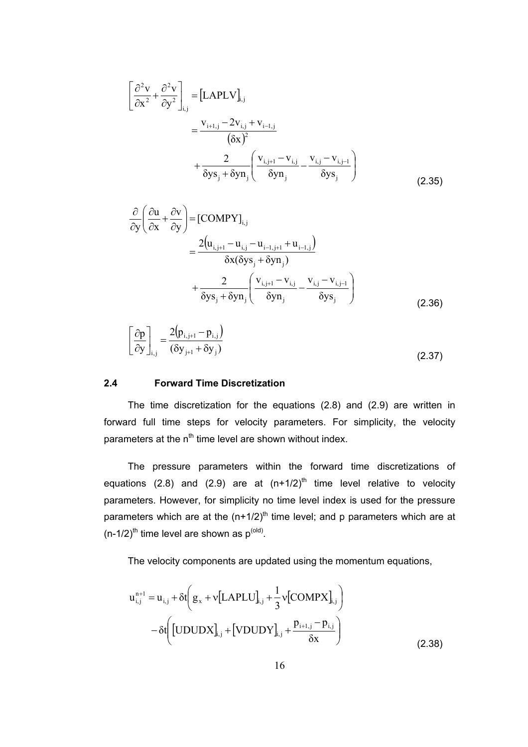$$
\left[\frac{\partial^2 \mathbf{v}}{\partial x^2} + \frac{\partial^2 \mathbf{v}}{\partial y^2}\right]_{i,j} = \left[LAPLV\right]_{i,j} \n= \frac{\mathbf{v}_{i+1,j} - 2\mathbf{v}_{i,j} + \mathbf{v}_{i-1,j}}{(6x)^2} \n+ \frac{2}{\delta ys_j + \delta y \mathbf{n}_j} \left(\frac{\mathbf{v}_{i,j+1} - \mathbf{v}_{i,j}}{\delta y \mathbf{n}_j} - \frac{\mathbf{v}_{i,j} - \mathbf{v}_{i,j-1}}{\delta y \mathbf{s}_j}\right)
$$
\n(2.35)

$$
\frac{\partial}{\partial y} \left( \frac{\partial u}{\partial x} + \frac{\partial v}{\partial y} \right) = \left[ \text{COMPY} \right]_{i,j} \n= \frac{2(u_{i,j+1} - u_{i,j} - u_{i-1,j+1} + u_{i-1,j})}{\delta x (\delta y s_j + \delta y n_j)} \n+ \frac{2}{\delta y s_j + \delta y n_j} \left( \frac{v_{i,j+1} - v_{i,j}}{\delta y n_j} - \frac{v_{i,j} - v_{i,j-1}}{\delta y s_j} \right)
$$
\n(2.36)

$$
\left[\frac{\partial \mathbf{p}}{\partial \mathbf{y}}\right]_{i,j} = \frac{2(\mathbf{p}_{i,j+1} - \mathbf{p}_{i,j})}{(\delta \mathbf{y}_{j+1} + \delta \mathbf{y}_j)}
$$
(2.37)

#### **2.4 Forward Time Discretization**

The time discretization for the equations (2.8) and (2.9) are written in forward full time steps for velocity parameters. For simplicity, the velocity parameters at the  $n<sup>th</sup>$  time level are shown without index.

The pressure parameters within the forward time discretizations of equations (2.8) and (2.9) are at  $(n+1/2)^{th}$  time level relative to velocity parameters. However, for simplicity no time level index is used for the pressure parameters which are at the  $(n+1/2)^{th}$  time level; and p parameters which are at  $(n-1/2)$ <sup>th</sup> time level are shown as  $p^{(old)}$ .

The velocity components are updated using the momentum equations,

$$
u_{i,j}^{n+1} = u_{i,j} + \delta t \left( g_x + v [LAPLU]_{i,j} + \frac{1}{3} v [COMPX]_{i,j} \right) - \delta t \left( [UDUDX]_{i,j} + [VDUDY]_{i,j} + \frac{p_{i+1,j} - p_{i,j}}{\delta x} \right)
$$
(2.38)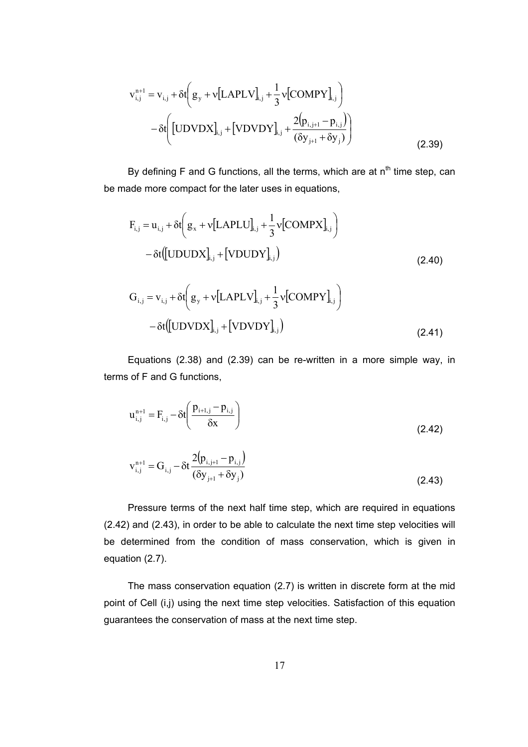$$
v_{i,j}^{n+1} = v_{i,j} + \delta t \left( g_y + v [LAPLV]_{i,j} + \frac{1}{3} v [COMPY]_{i,j} \right) - \delta t \left( [UDVDX]_{i,j} + [VDVDY]_{i,j} + \frac{2(p_{i,j+1} - p_{i,j})}{(\delta y_{j+1} + \delta y_j)} \right)
$$
(2.39)

By defining F and G functions, all the terms, which are at  $n<sup>th</sup>$  time step, can be made more compact for the later uses in equations,

$$
F_{i,j} = u_{i,j} + \delta t \left( g_x + v [LAPLU]_{i,j} + \frac{1}{3} v [COMPX]_{i,j} \right)
$$
  
-  $\delta t \left( [UDUDX]_{i,j} + [VDUDY]_{i,j} \right)$  (2.40)  

$$
G_{i,j} = v_{i,j} + \delta t \left( g_y + v [LAPLV]_{i,j} + \frac{1}{3} v [COMPY]_{i,j} \right)
$$
  
-  $\delta t \left( [UDVDX]_{i,j} + [VDVDY]_{i,j} \right)$  (2.41)

Equations (2.38) and (2.39) can be re-written in a more simple way, in terms of F and G functions,

$$
u_{i,j}^{n+1} = F_{i,j} - \delta t \left( \frac{p_{i+1,j} - p_{i,j}}{\delta x} \right)
$$
 (2.42)

$$
v_{i,j}^{n+1} = G_{i,j} - \delta t \frac{2(p_{i,j+1} - p_{i,j})}{(\delta y_{j+1} + \delta y_j)}
$$
(2.43)

Pressure terms of the next half time step, which are required in equations (2.42) and (2.43), in order to be able to calculate the next time step velocities will be determined from the condition of mass conservation, which is given in equation (2.7).

The mass conservation equation (2.7) is written in discrete form at the mid point of Cell (i,j) using the next time step velocities. Satisfaction of this equation guarantees the conservation of mass at the next time step.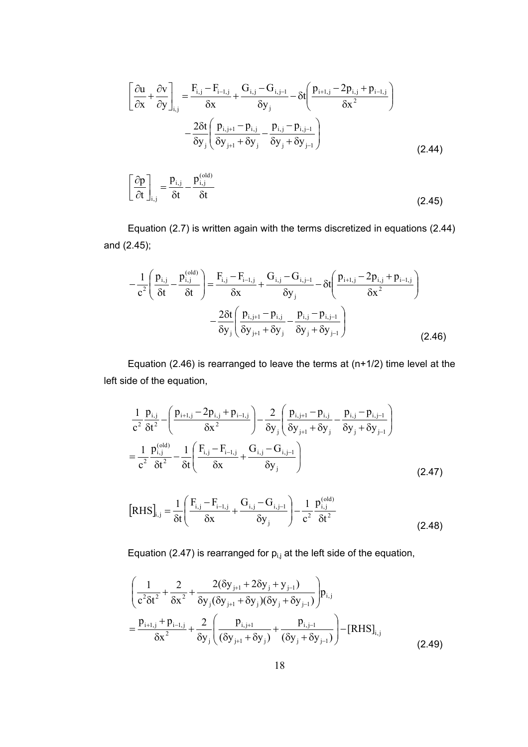$$
\left[\frac{\partial \mathbf{u}}{\partial x} + \frac{\partial \mathbf{v}}{\partial y}\right]_{i,j} = \frac{\mathbf{F}_{i,j} - \mathbf{F}_{i-1,j}}{\delta x} + \frac{\mathbf{G}_{i,j} - \mathbf{G}_{i,j-1}}{\delta y_j} - \delta t \left(\frac{\mathbf{p}_{i+1,j} - 2\mathbf{p}_{i,j} + \mathbf{p}_{i-1,j}}{\delta x^2}\right) \n- \frac{2\delta t}{\delta y_j} \left(\frac{\mathbf{p}_{i,j+1} - \mathbf{p}_{i,j}}{\delta y_{j+1} + \delta y_j} - \frac{\mathbf{p}_{i,j} - \mathbf{p}_{i,j-1}}{\delta y_j + \delta y_{j-1}}\right)
$$
\n
$$
\left[\frac{\partial \mathbf{p}}{\partial t}\right]_{i,j} = \frac{\mathbf{p}_{i,j}}{\delta t} - \frac{\mathbf{p}_{i,j}^{(\text{old})}}{\delta t}
$$
\n(2.44)

Equation (2.7) is written again with the terms discretized in equations (2.44) and (2.45);

$$
-\frac{1}{c^2} \left( \frac{p_{i,j}}{\delta t} - \frac{p_{i,j}^{(old)}}{\delta t} \right) = \frac{F_{i,j} - F_{i-1,j}}{\delta x} + \frac{G_{i,j} - G_{i,j-1}}{\delta y_j} - \delta t \left( \frac{p_{i+1,j} - 2p_{i,j} + p_{i-1,j}}{\delta x^2} \right) -\frac{2\delta t}{\delta y_j} \left( \frac{p_{i,j+1} - p_{i,j}}{\delta y_{j+1} + \delta y_j} - \frac{p_{i,j} - p_{i,j-1}}{\delta y_j + \delta y_{j-1}} \right)
$$
(2.46)

Equation (2.46) is rearranged to leave the terms at  $(n+1/2)$  time level at the left side of the equation,

$$
\frac{1}{c^2} \frac{p_{i,j}}{\delta t^2} - \left(\frac{p_{i+1,j} - 2p_{i,j} + p_{i-1,j}}{\delta x^2}\right) - \frac{2}{\delta y_j} \left(\frac{p_{i,j+1} - p_{i,j}}{\delta y_{j+1} + \delta y_j} - \frac{p_{i,j} - p_{i,j-1}}{\delta y_j + \delta y_{j-1}}\right) \n= \frac{1}{c^2} \frac{p_{i,j}^{(\text{old})}}{\delta t^2} - \frac{1}{\delta t} \left(\frac{F_{i,j} - F_{i-1,j}}{\delta x} + \frac{G_{i,j} - G_{i,j-1}}{\delta y_j}\right)
$$
\n(2.47)

$$
\left[\text{RHS}\right]_{i,j} = \frac{1}{\delta t} \left( \frac{F_{i,j} - F_{i-1,j}}{\delta x} + \frac{G_{i,j} - G_{i,j-1}}{\delta y_j} \right) - \frac{1}{c^2} \frac{p_{i,j}^{(\text{old})}}{\delta t^2}
$$
(2.48)

Equation (2.47) is rearranged for  $p_{i,j}$  at the left side of the equation,

$$
\left(\frac{1}{c^2 \delta t^2} + \frac{2}{\delta x^2} + \frac{2(\delta y_{j+1} + 2\delta y_j + y_{j-1})}{\delta y_j (\delta y_{j+1} + \delta y_j)(\delta y_j + \delta y_{j-1})}\right) p_{i,j}
$$
  
=  $\frac{p_{i+1,j} + p_{i-1,j}}{\delta x^2} + \frac{2}{\delta y_j} \left(\frac{p_{i,j+1}}{(\delta y_{j+1} + \delta y_j)} + \frac{p_{i,j-1}}{(\delta y_j + \delta y_{j-1})}\right) - [\text{RHS}]_{i,j}$  (2.49)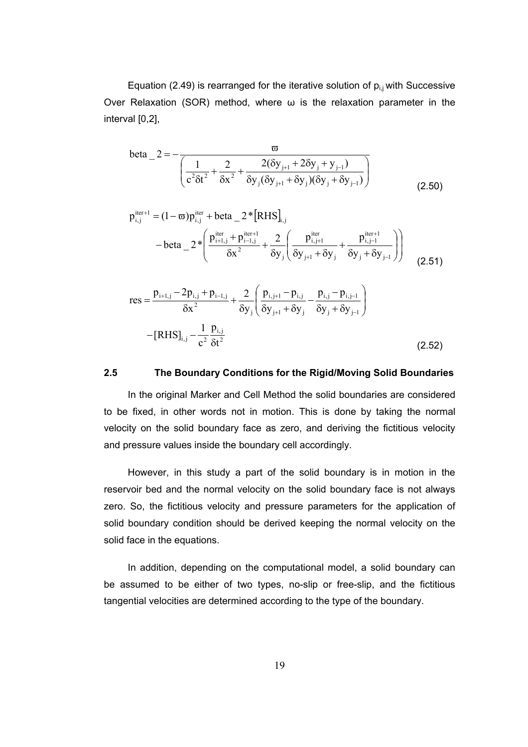Equation (2.49) is rearranged for the iterative solution of  $p_{i,j}$  with Successive Over Relaxation (SOR) method, where  $\omega$  is the relaxation parameter in the interval [0,2],

beta 
$$
-2 = -\frac{\varpi}{\left(\frac{1}{c^2 \delta t^2} + \frac{2}{\delta x^2} + \frac{2(\delta y_{j+1} + 2\delta y_j + y_{j-1})}{\delta y_j(\delta y_{j+1} + \delta y_j)(\delta y_j + \delta y_{j-1})}\right)}
$$
(2.50)

$$
p_{i,j}^{\text{iter+1}} = (1 - \varpi) p_{i,j}^{\text{iter}} + \text{beta}_{-2} * [RHS]_{i,j}
$$
  
- beta<sub>-</sub> 2\*  $\left( \frac{p_{i+1,j}^{\text{iter+1}} + p_{i-1,j}^{\text{iter+1}}}{\delta x^2} + \frac{2}{\delta y_j} \left( \frac{p_{i,j+1}^{\text{iter}}}{\delta y_{j+1} + \delta y_j} + \frac{p_{i,j-1}^{\text{iter+1}}}{\delta y_j + \delta y_{j-1}} \right) \right)$  (2.51)

res = 
$$
\frac{p_{i+1,j} - 2p_{i,j} + p_{i-1,j}}{\delta x^2} + \frac{2}{\delta y_j} \left( \frac{p_{i,j+1} - p_{i,j}}{\delta y_{j+1} + \delta y_j} - \frac{p_{i,j} - p_{i,j-1}}{\delta y_j + \delta y_{j-1}} \right)
$$

$$
- [RHS]_{i,j} - \frac{1}{c^2} \frac{p_{i,j}}{\delta t^2}
$$
(2.52)

#### **2.5 The Boundary Conditions for the Rigid/Moving Solid Boundaries**

In the original Marker and Cell Method the solid boundaries are considered to be fixed, in other words not in motion. This is done by taking the normal velocity on the solid boundary face as zero, and deriving the fictitious velocity and pressure values inside the boundary cell accordingly.

However, in this study a part of the solid boundary is in motion in the reservoir bed and the normal velocity on the solid boundary face is not always zero. So, the fictitious velocity and pressure parameters for the application of solid boundary condition should be derived keeping the normal velocity on the solid face in the equations.

In addition, depending on the computational model, a solid boundary can be assumed to be either of two types, no-slip or free-slip, and the fictitious tangential velocities are determined according to the type of the boundary.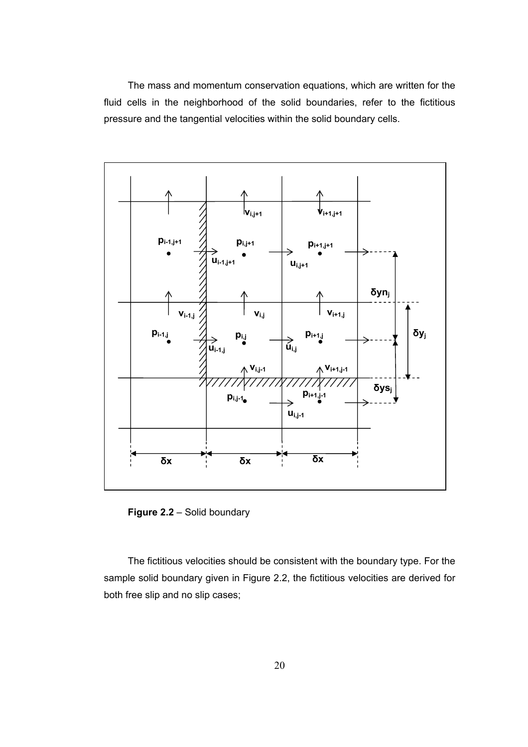The mass and momentum conservation equations, which are written for the fluid cells in the neighborhood of the solid boundaries, refer to the fictitious pressure and the tangential velocities within the solid boundary cells.



**Figure 2.2** – Solid boundary

The fictitious velocities should be consistent with the boundary type. For the sample solid boundary given in Figure 2.2, the fictitious velocities are derived for both free slip and no slip cases;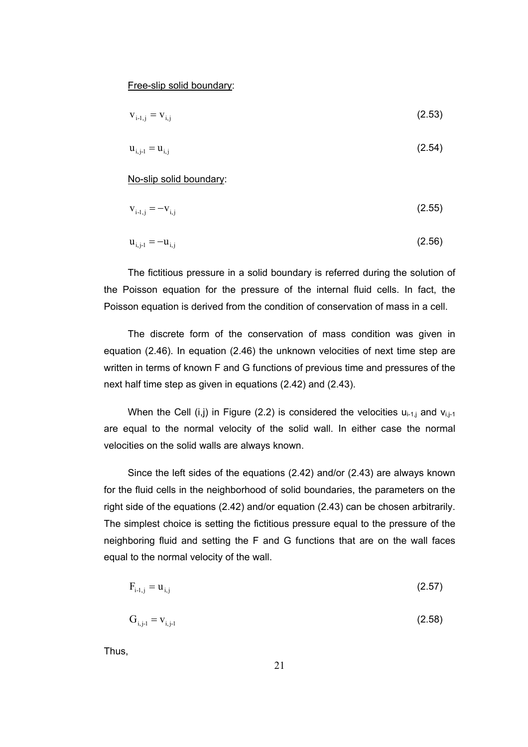Free-slip solid boundary:

$$
v_{i-1,j} = v_{i,j}
$$
 (2.53)

$$
u_{i,j-1} = u_{i,j} \tag{2.54}
$$

No-slip solid boundary:

$$
v_{i-1,j} = -v_{i,j}
$$
 (2.55)

$$
u_{i,j-1} = -u_{i,j}
$$
 (2.56)

The fictitious pressure in a solid boundary is referred during the solution of the Poisson equation for the pressure of the internal fluid cells. In fact, the Poisson equation is derived from the condition of conservation of mass in a cell.

The discrete form of the conservation of mass condition was given in equation (2.46). In equation (2.46) the unknown velocities of next time step are written in terms of known F and G functions of previous time and pressures of the next half time step as given in equations (2.42) and (2.43).

When the Cell (i,j) in Figure (2.2) is considered the velocities  $u_{i-1,j}$  and  $v_{i,j-1,j}$ are equal to the normal velocity of the solid wall. In either case the normal velocities on the solid walls are always known.

Since the left sides of the equations (2.42) and/or (2.43) are always known for the fluid cells in the neighborhood of solid boundaries, the parameters on the right side of the equations (2.42) and/or equation (2.43) can be chosen arbitrarily. The simplest choice is setting the fictitious pressure equal to the pressure of the neighboring fluid and setting the F and G functions that are on the wall faces equal to the normal velocity of the wall.

$$
F_{i-1,j} = u_{i,j} \tag{2.57}
$$

$$
G_{i,j-1} = V_{i,j-1}
$$
 (2.58)

Thus,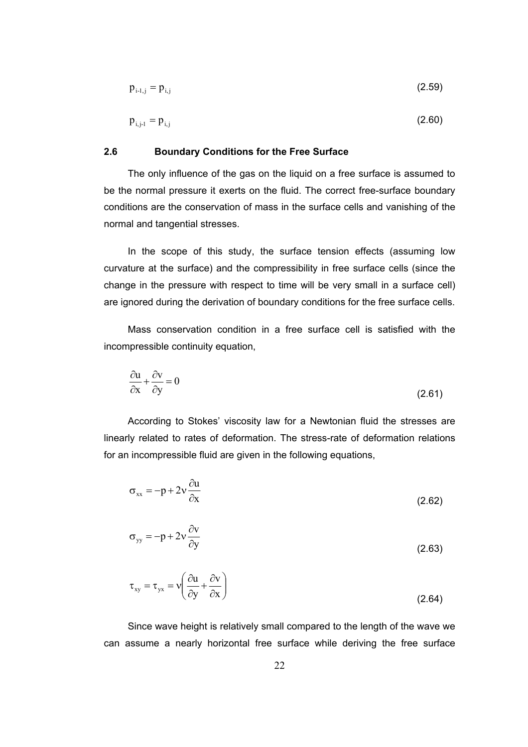$$
p_{i-1,j} = p_{i,j} \tag{2.59}
$$

$$
p_{i,j-1} = p_{i,j}
$$
 (2.60)

#### **2.6 Boundary Conditions for the Free Surface**

The only influence of the gas on the liquid on a free surface is assumed to be the normal pressure it exerts on the fluid. The correct free-surface boundary conditions are the conservation of mass in the surface cells and vanishing of the normal and tangential stresses.

In the scope of this study, the surface tension effects (assuming low curvature at the surface) and the compressibility in free surface cells (since the change in the pressure with respect to time will be very small in a surface cell) are ignored during the derivation of boundary conditions for the free surface cells.

Mass conservation condition in a free surface cell is satisfied with the incompressible continuity equation,

$$
\frac{\partial u}{\partial x} + \frac{\partial v}{\partial y} = 0
$$
\n(2.61)

According to Stokes' viscosity law for a Newtonian fluid the stresses are linearly related to rates of deformation. The stress-rate of deformation relations for an incompressible fluid are given in the following equations,

$$
\sigma_{xx} = -p + 2v \frac{\partial u}{\partial x}
$$
 (2.62)

$$
\sigma_{yy} = -p + 2v \frac{\partial v}{\partial y}
$$
 (2.63)

$$
\tau_{xy} = \tau_{yx} = v \left( \frac{\partial u}{\partial y} + \frac{\partial v}{\partial x} \right)
$$
 (2.64)

Since wave height is relatively small compared to the length of the wave we can assume a nearly horizontal free surface while deriving the free surface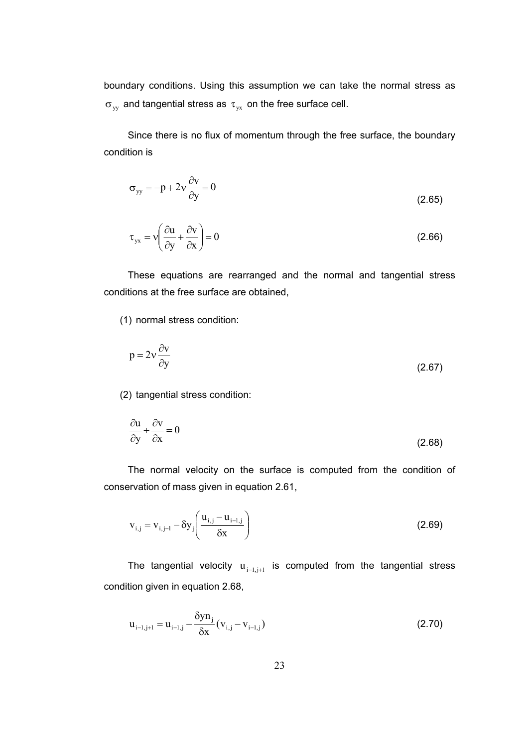boundary conditions. Using this assumption we can take the normal stress as  $\sigma_{\text{vv}}$  and tangential stress as  $\tau_{\text{vx}}$  on the free surface cell.

Since there is no flux of momentum through the free surface, the boundary condition is

$$
\sigma_{yy} = -p + 2v \frac{\partial v}{\partial y} = 0
$$
\n(2.65)

$$
\tau_{yx} = v \left( \frac{\partial u}{\partial y} + \frac{\partial v}{\partial x} \right) = 0
$$
\n(2.66)

These equations are rearranged and the normal and tangential stress conditions at the free surface are obtained,

(1) normal stress condition:

$$
p = 2v \frac{\partial v}{\partial y}
$$
 (2.67)

(2) tangential stress condition:

$$
\frac{\partial u}{\partial y} + \frac{\partial v}{\partial x} = 0
$$
\n(2.68)

The normal velocity on the surface is computed from the condition of conservation of mass given in equation 2.61,

$$
v_{i,j} = v_{i,j-1} - \delta y_j \left( \frac{u_{i,j} - u_{i-1,j}}{\delta x} \right)
$$
 (2.69)

The tangential velocity  $u_{i-1,i+1}$  is computed from the tangential stress condition given in equation 2.68,

$$
u_{i-l,j+1} = u_{i-l,j} - \frac{\delta y n_j}{\delta x} (v_{i,j} - v_{i-l,j})
$$
\n(2.70)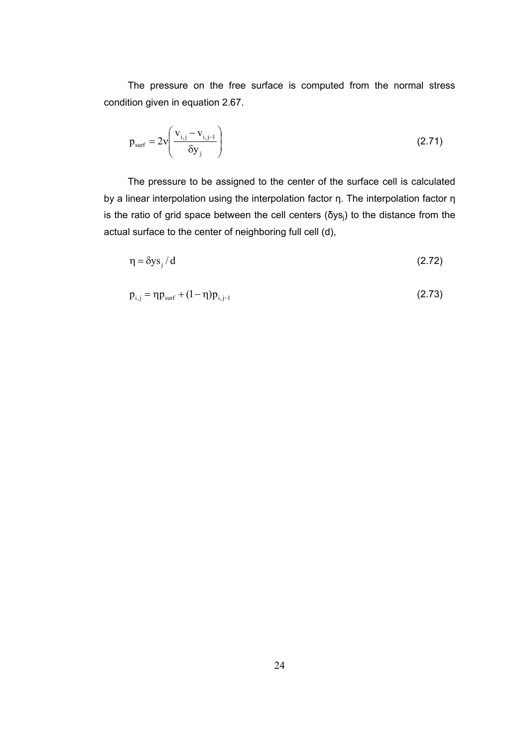The pressure on the free surface is computed from the normal stress condition given in equation 2.67.

$$
p_{\text{surf}} = 2v \left( \frac{v_{i,j} - v_{i,j-1}}{\delta y_j} \right)
$$
 (2.71)

The pressure to be assigned to the center of the surface cell is calculated by a linear interpolation using the interpolation factor η. The interpolation factor η is the ratio of grid space between the cell centers (δys<sub>i</sub>) to the distance from the actual surface to the center of neighboring full cell (d),

$$
\eta = \delta y s_j / d \tag{2.72}
$$

$$
p_{i,j} = \eta p_{surf} + (1 - \eta) p_{i,j-1}
$$
 (2.73)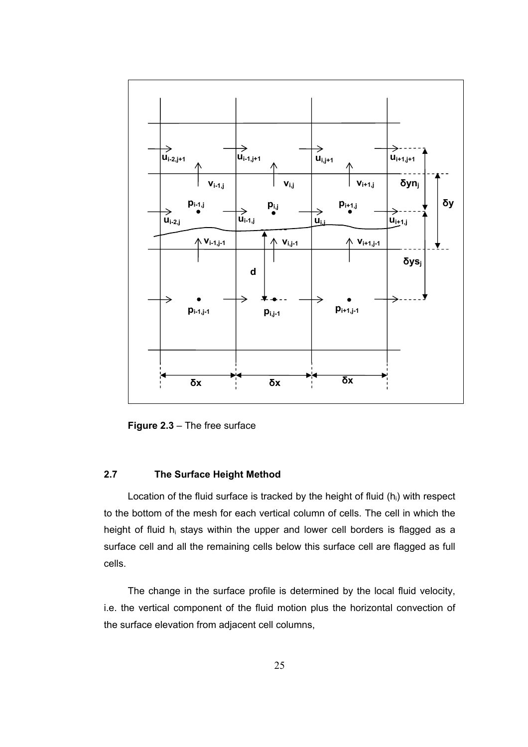

**Figure 2.3** – The free surface

## **2.7 The Surface Height Method**

Location of the fluid surface is tracked by the height of fluid  $(h_i)$  with respect to the bottom of the mesh for each vertical column of cells. The cell in which the height of fluid h<sub>i</sub> stays within the upper and lower cell borders is flagged as a surface cell and all the remaining cells below this surface cell are flagged as full cells.

The change in the surface profile is determined by the local fluid velocity, i.e. the vertical component of the fluid motion plus the horizontal convection of the surface elevation from adjacent cell columns,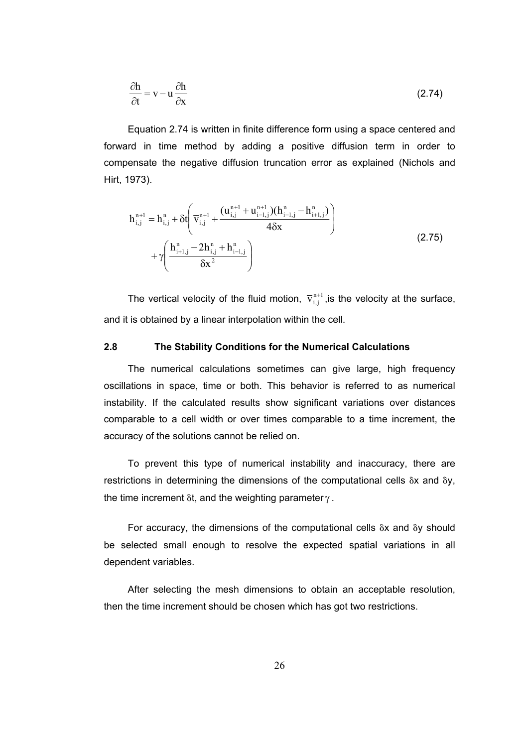$$
\frac{\partial \mathbf{h}}{\partial t} = \mathbf{v} - \mathbf{u} \frac{\partial \mathbf{h}}{\partial \mathbf{x}} \tag{2.74}
$$

Equation 2.74 is written in finite difference form using a space centered and forward in time method by adding a positive diffusion term in order to compensate the negative diffusion truncation error as explained (Nichols and Hirt, 1973).

$$
h_{i,j}^{n+1} = h_{i,j}^{n} + \delta t \left( \overline{v}_{i,j}^{n+1} + \frac{(u_{i,j}^{n+1} + u_{i-1,j}^{n+1})(h_{i-1,j}^{n} - h_{i+1,j}^{n})}{4\delta x} \right) + \gamma \left( \frac{h_{i+1,j}^{n} - 2h_{i,j}^{n} + h_{i-1,j}^{n}}{\delta x^{2}} \right)
$$
(2.75)

The vertical velocity of the fluid motion,  $\overline{v}_{i,j}^{n+1}$ , is the velocity at the surface, and it is obtained by a linear interpolation within the cell.

## **2.8 The Stability Conditions for the Numerical Calculations**

The numerical calculations sometimes can give large, high frequency oscillations in space, time or both. This behavior is referred to as numerical instability. If the calculated results show significant variations over distances comparable to a cell width or over times comparable to a time increment, the accuracy of the solutions cannot be relied on.

To prevent this type of numerical instability and inaccuracy, there are restrictions in determining the dimensions of the computational cells  $\delta x$  and  $\delta y$ , the time increment  $\delta t$ , and the weighting parameter  $\gamma$ .

For accuracy, the dimensions of the computational cells δx and δy should be selected small enough to resolve the expected spatial variations in all dependent variables.

After selecting the mesh dimensions to obtain an acceptable resolution, then the time increment should be chosen which has got two restrictions.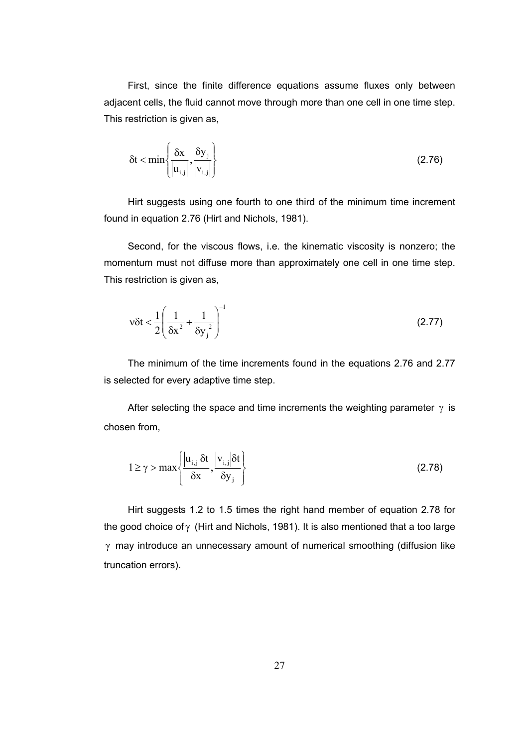First, since the finite difference equations assume fluxes only between adjacent cells, the fluid cannot move through more than one cell in one time step. This restriction is given as,

$$
\delta t < \min\left\{\frac{\delta x}{|u_{i,j}|}, \frac{\delta y_j}{|v_{i,j}|}\right\}
$$
 (2.76)

Hirt suggests using one fourth to one third of the minimum time increment found in equation 2.76 (Hirt and Nichols, 1981).

Second, for the viscous flows, i.e. the kinematic viscosity is nonzero; the momentum must not diffuse more than approximately one cell in one time step. This restriction is given as,

$$
v\delta t < \frac{1}{2} \left( \frac{1}{\delta x^2} + \frac{1}{\delta y_j^2} \right)^{-1}
$$
 (2.77)

The minimum of the time increments found in the equations 2.76 and 2.77 is selected for every adaptive time step.

After selecting the space and time increments the weighting parameter  $\gamma$  is chosen from,

$$
1 \ge \gamma > \max\left\{\frac{|u_{i,j}|\delta t}{\delta x}, \frac{|v_{i,j}|\delta t}{\delta y_j}\right\}
$$
 (2.78)

Hirt suggests 1.2 to 1.5 times the right hand member of equation 2.78 for the good choice of  $\gamma$  (Hirt and Nichols, 1981). It is also mentioned that a too large γ may introduce an unnecessary amount of numerical smoothing (diffusion like truncation errors).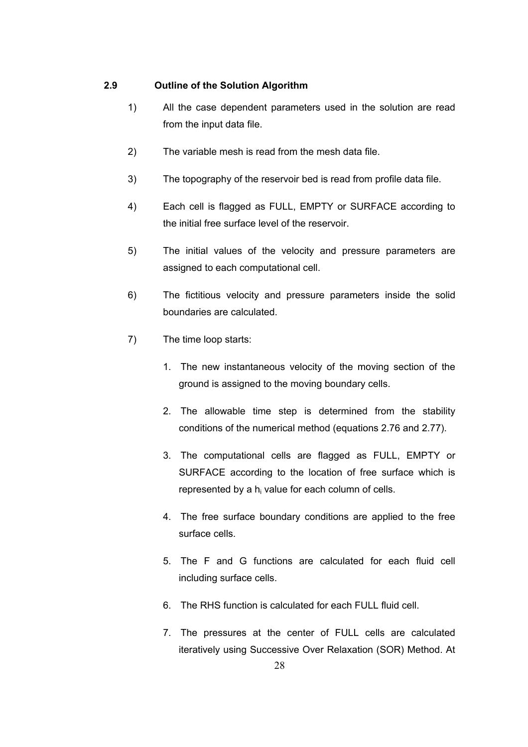## **2.9 Outline of the Solution Algorithm**

- 1) All the case dependent parameters used in the solution are read from the input data file.
- 2) The variable mesh is read from the mesh data file.
- 3) The topography of the reservoir bed is read from profile data file.
- 4) Each cell is flagged as FULL, EMPTY or SURFACE according to the initial free surface level of the reservoir.
- 5) The initial values of the velocity and pressure parameters are assigned to each computational cell.
- 6) The fictitious velocity and pressure parameters inside the solid boundaries are calculated.
- 7) The time loop starts:
	- 1. The new instantaneous velocity of the moving section of the ground is assigned to the moving boundary cells.
	- 2. The allowable time step is determined from the stability conditions of the numerical method (equations 2.76 and 2.77).
	- 3. The computational cells are flagged as FULL, EMPTY or SURFACE according to the location of free surface which is represented by a  $h_i$  value for each column of cells.
	- 4. The free surface boundary conditions are applied to the free surface cells.
	- 5. The F and G functions are calculated for each fluid cell including surface cells.
	- 6. The RHS function is calculated for each FULL fluid cell.
	- 7. The pressures at the center of FULL cells are calculated iteratively using Successive Over Relaxation (SOR) Method. At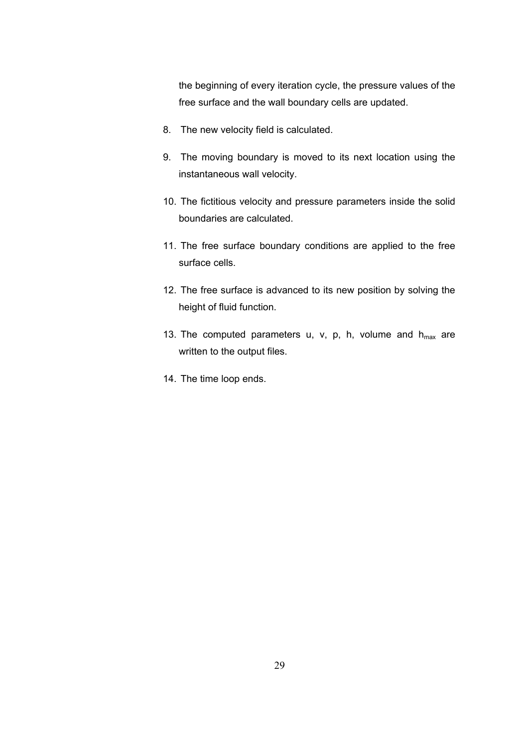the beginning of every iteration cycle, the pressure values of the free surface and the wall boundary cells are updated.

- 8. The new velocity field is calculated.
- 9. The moving boundary is moved to its next location using the instantaneous wall velocity.
- 10. The fictitious velocity and pressure parameters inside the solid boundaries are calculated.
- 11. The free surface boundary conditions are applied to the free surface cells.
- 12. The free surface is advanced to its new position by solving the height of fluid function.
- 13. The computed parameters u, v, p, h, volume and  $h_{max}$  are written to the output files.
- 14. The time loop ends.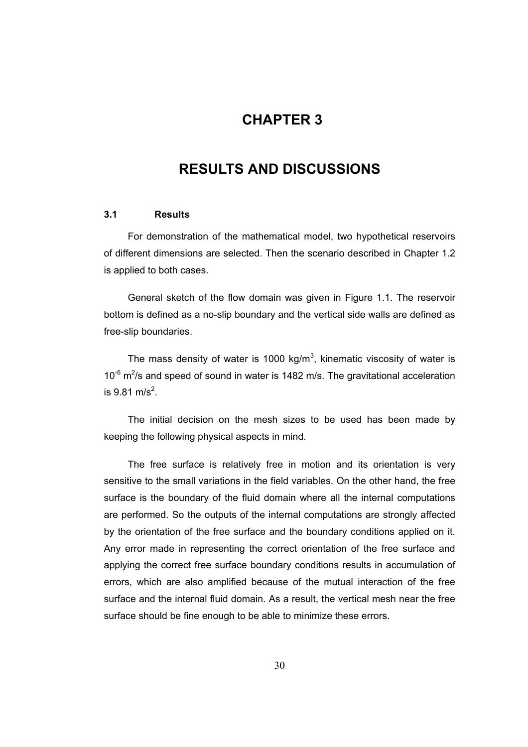# **3CHAPTER 3**

# **RESULTS AND DISCUSSIONS**

#### **3.1 Results**

For demonstration of the mathematical model, two hypothetical reservoirs of different dimensions are selected. Then the scenario described in Chapter 1.2 is applied to both cases.

General sketch of the flow domain was given in Figure 1.1. The reservoir bottom is defined as a no-slip boundary and the vertical side walls are defined as free-slip boundaries.

The mass density of water is 1000 kg/m<sup>3</sup>, kinematic viscosity of water is  $10^{-6}$  m<sup>2</sup>/s and speed of sound in water is 1482 m/s. The gravitational acceleration is  $9.81 \text{ m/s}^2$ .

The initial decision on the mesh sizes to be used has been made by keeping the following physical aspects in mind.

The free surface is relatively free in motion and its orientation is very sensitive to the small variations in the field variables. On the other hand, the free surface is the boundary of the fluid domain where all the internal computations are performed. So the outputs of the internal computations are strongly affected by the orientation of the free surface and the boundary conditions applied on it. Any error made in representing the correct orientation of the free surface and applying the correct free surface boundary conditions results in accumulation of errors, which are also amplified because of the mutual interaction of the free surface and the internal fluid domain. As a result, the vertical mesh near the free surface should be fine enough to be able to minimize these errors.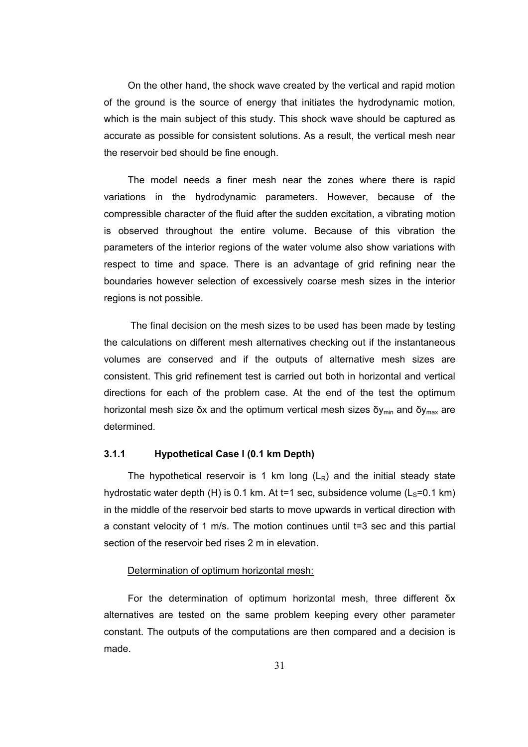On the other hand, the shock wave created by the vertical and rapid motion of the ground is the source of energy that initiates the hydrodynamic motion, which is the main subject of this study. This shock wave should be captured as accurate as possible for consistent solutions. As a result, the vertical mesh near the reservoir bed should be fine enough.

The model needs a finer mesh near the zones where there is rapid variations in the hydrodynamic parameters. However, because of the compressible character of the fluid after the sudden excitation, a vibrating motion is observed throughout the entire volume. Because of this vibration the parameters of the interior regions of the water volume also show variations with respect to time and space. There is an advantage of grid refining near the boundaries however selection of excessively coarse mesh sizes in the interior regions is not possible.

 The final decision on the mesh sizes to be used has been made by testing the calculations on different mesh alternatives checking out if the instantaneous volumes are conserved and if the outputs of alternative mesh sizes are consistent. This grid refinement test is carried out both in horizontal and vertical directions for each of the problem case. At the end of the test the optimum horizontal mesh size δx and the optimum vertical mesh sizes  $\delta v_{min}$  and  $\delta v_{max}$  are determined.

## **3.1.1 Hypothetical Case I (0.1 km Depth)**

The hypothetical reservoir is 1 km long  $(L_R)$  and the initial steady state hydrostatic water depth (H) is 0.1 km. At t=1 sec, subsidence volume  $(L<sub>s</sub>=0.1$  km) in the middle of the reservoir bed starts to move upwards in vertical direction with a constant velocity of 1 m/s. The motion continues until t=3 sec and this partial section of the reservoir bed rises 2 m in elevation.

#### Determination of optimum horizontal mesh:

For the determination of optimum horizontal mesh, three different δx alternatives are tested on the same problem keeping every other parameter constant. The outputs of the computations are then compared and a decision is made.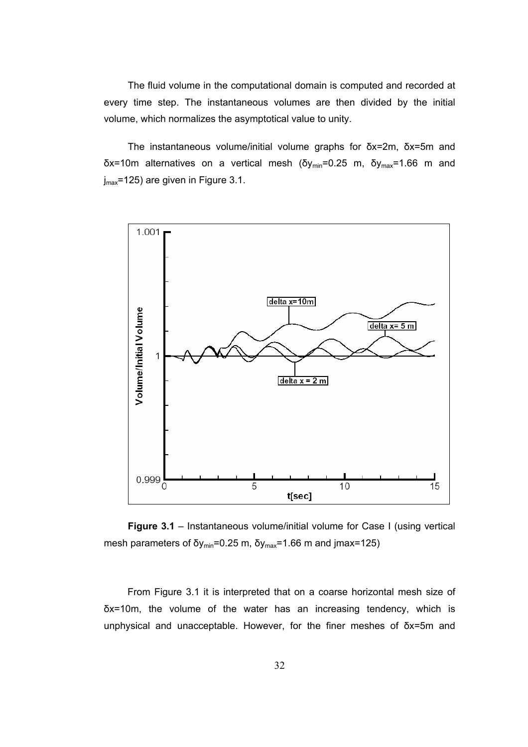The fluid volume in the computational domain is computed and recorded at every time step. The instantaneous volumes are then divided by the initial volume, which normalizes the asymptotical value to unity.

The instantaneous volume/initial volume graphs for δx=2m, δx=5m and  $δx=10m$  alternatives on a vertical mesh ( $δy_{min}=0.25$  m,  $δy_{max}=1.66$  m and j<sub>max</sub>=125) are given in Figure 3.1.



**Figure 3.1** – Instantaneous volume/initial volume for Case I (using vertical mesh parameters of  $\delta y_{\text{min}} = 0.25 \text{ m}$ ,  $\delta y_{\text{max}} = 1.66 \text{ m}$  and jmax=125)

From Figure 3.1 it is interpreted that on a coarse horizontal mesh size of δx=10m, the volume of the water has an increasing tendency, which is unphysical and unacceptable. However, for the finer meshes of δx=5m and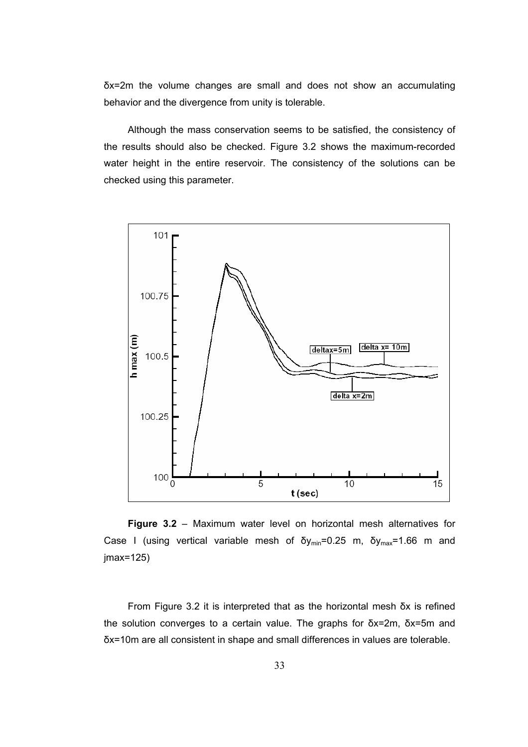δx=2m the volume changes are small and does not show an accumulating behavior and the divergence from unity is tolerable.

Although the mass conservation seems to be satisfied, the consistency of the results should also be checked. Figure 3.2 shows the maximum-recorded water height in the entire reservoir. The consistency of the solutions can be checked using this parameter.



**Figure 3.2** – Maximum water level on horizontal mesh alternatives for Case I (using vertical variable mesh of  $\delta y_{min} = 0.25$  m,  $\delta y_{max} = 1.66$  m and jmax=125)

From Figure 3.2 it is interpreted that as the horizontal mesh δx is refined the solution converges to a certain value. The graphs for δx=2m, δx=5m and δx=10m are all consistent in shape and small differences in values are tolerable.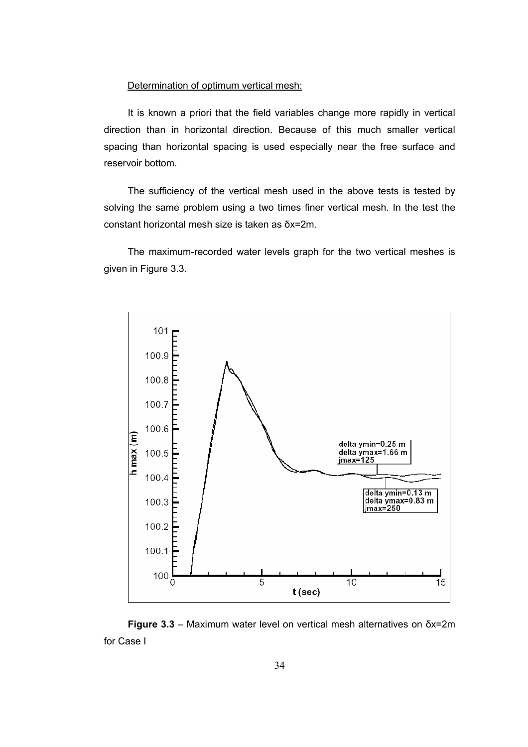## Determination of optimum vertical mesh:

It is known a priori that the field variables change more rapidly in vertical direction than in horizontal direction. Because of this much smaller vertical spacing than horizontal spacing is used especially near the free surface and reservoir bottom.

The sufficiency of the vertical mesh used in the above tests is tested by solving the same problem using a two times finer vertical mesh. In the test the constant horizontal mesh size is taken as δx=2m.

The maximum-recorded water levels graph for the two vertical meshes is given in Figure 3.3.



**Figure 3.3** – Maximum water level on vertical mesh alternatives on δx=2m for Case I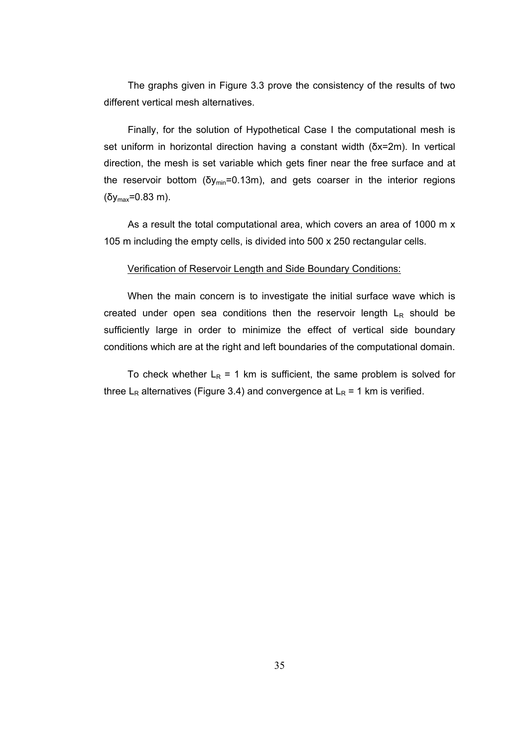The graphs given in Figure 3.3 prove the consistency of the results of two different vertical mesh alternatives.

Finally, for the solution of Hypothetical Case I the computational mesh is set uniform in horizontal direction having a constant width (δx=2m). In vertical direction, the mesh is set variable which gets finer near the free surface and at the reservoir bottom ( $\delta y_{min} = 0.13$ m), and gets coarser in the interior regions (δymax=0.83 m).

As a result the total computational area, which covers an area of 1000 m x 105 m including the empty cells, is divided into 500 x 250 rectangular cells.

#### Verification of Reservoir Length and Side Boundary Conditions:

When the main concern is to investigate the initial surface wave which is created under open sea conditions then the reservoir length  $L_R$  should be sufficiently large in order to minimize the effect of vertical side boundary conditions which are at the right and left boundaries of the computational domain.

To check whether  $L_R = 1$  km is sufficient, the same problem is solved for three L<sub>R</sub> alternatives (Figure 3.4) and convergence at L<sub>R</sub> = 1 km is verified.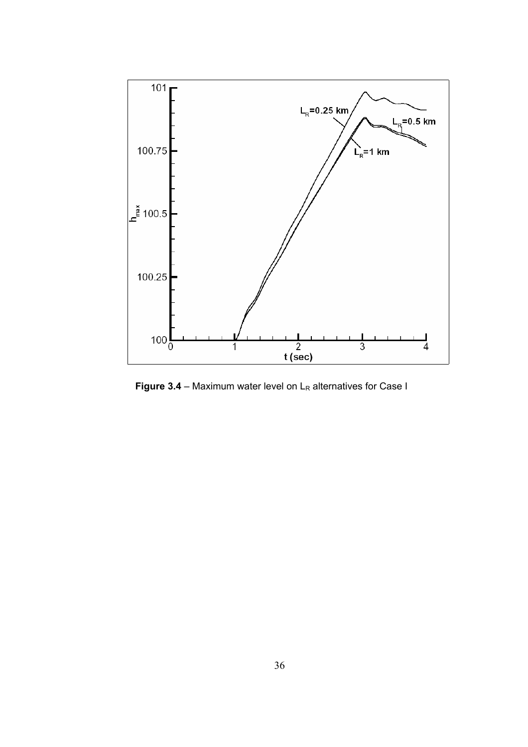

**Figure 3.4** – Maximum water level on  $L_R$  alternatives for Case I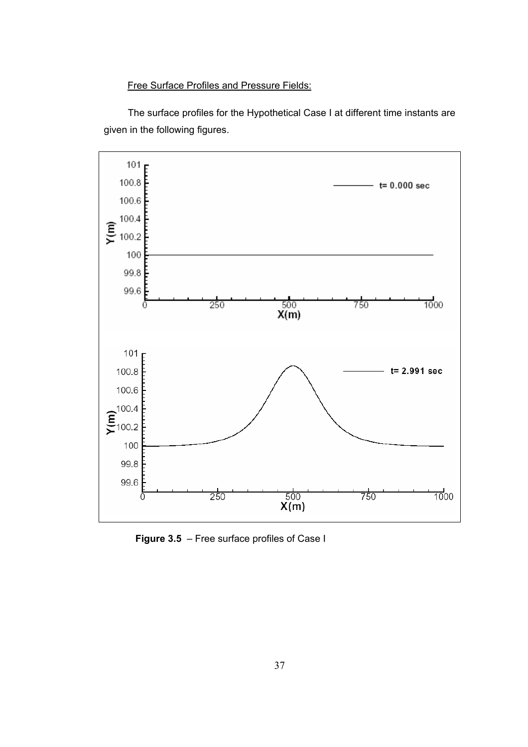Free Surface Profiles and Pressure Fields:

The surface profiles for the Hypothetical Case I at different time instants are given in the following figures.



**Figure 3.5** – Free surface profiles of Case I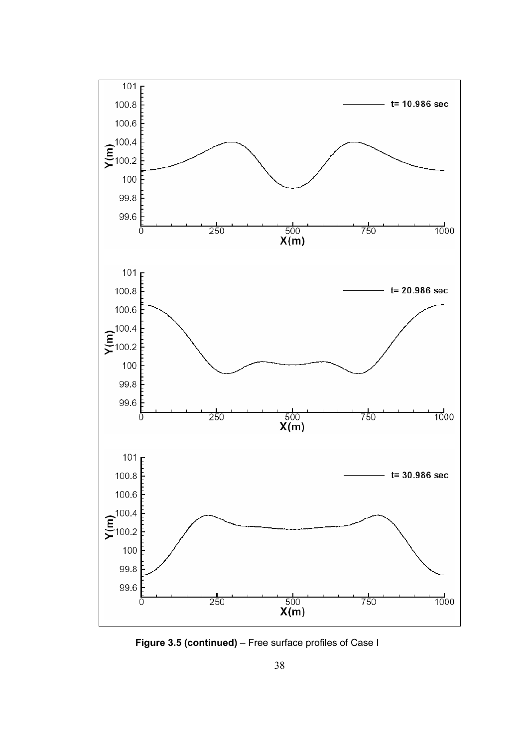

**Figure 3.5 (continued)** – Free surface profiles of Case I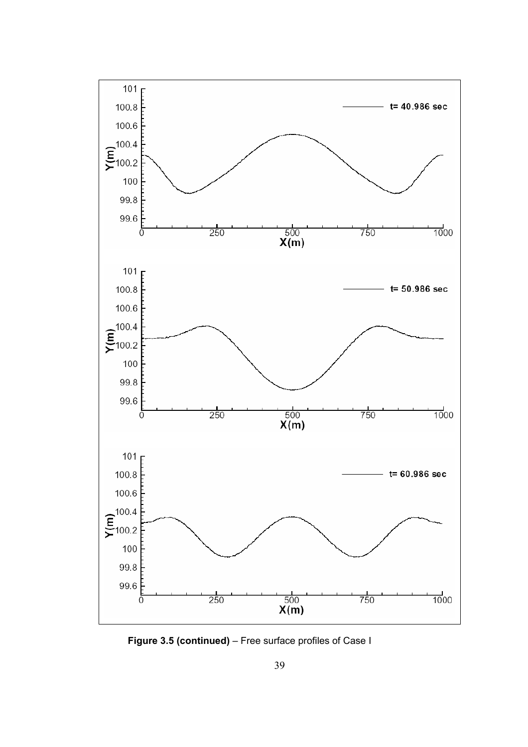

**Figure 3.5 (continued)** – Free surface profiles of Case I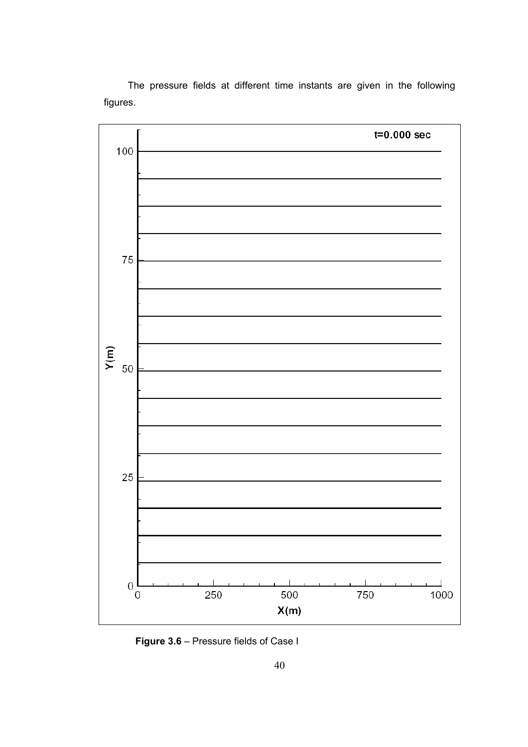The pressure fields at different time instants are given in the following figures.



**Figure 3.6** – Pressure fields of Case I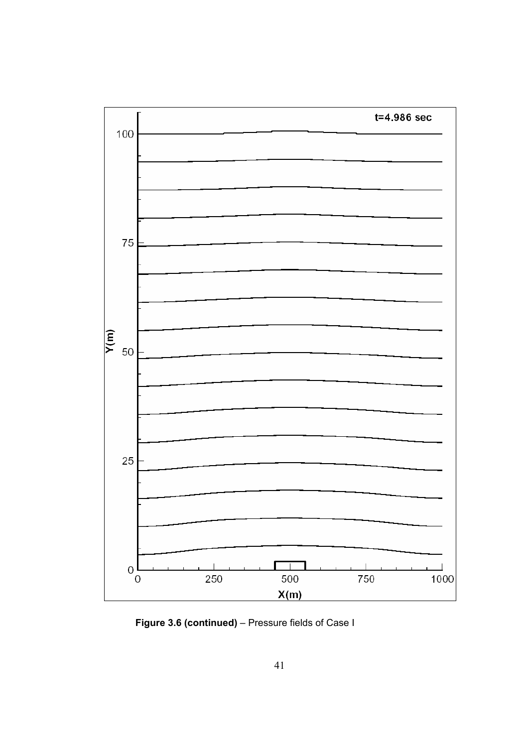

**Figure 3.6 (continued)** – Pressure fields of Case I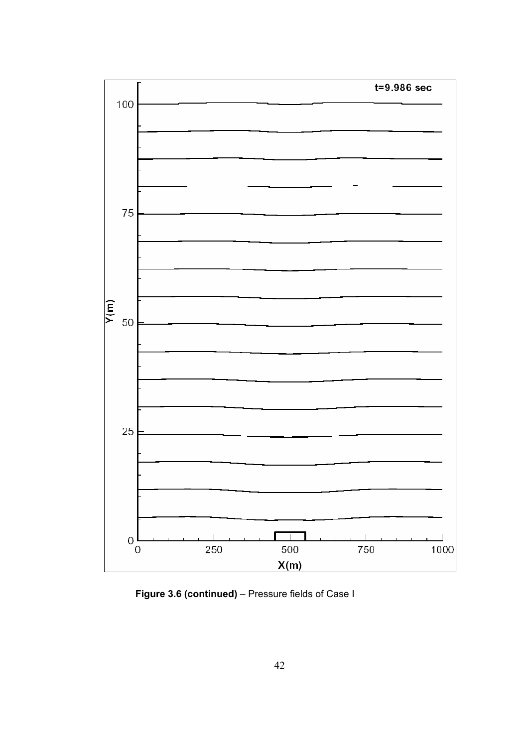

**Figure 3.6 (continued)** – Pressure fields of Case I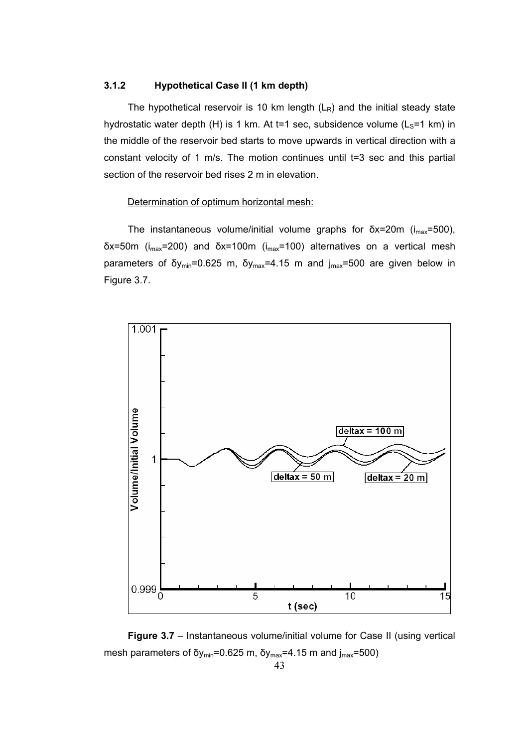## **3.1.2 Hypothetical Case II (1 km depth)**

The hypothetical reservoir is 10 km length  $(L_R)$  and the initial steady state hydrostatic water depth (H) is 1 km. At t=1 sec, subsidence volume  $(L<sub>S</sub>=1$  km) in the middle of the reservoir bed starts to move upwards in vertical direction with a constant velocity of 1 m/s. The motion continues until t=3 sec and this partial section of the reservoir bed rises 2 m in elevation.

#### Determination of optimum horizontal mesh:

The instantaneous volume/initial volume graphs for  $\delta x = 20$ m ( $i_{max} = 500$ ), δx=50m (imax=200) and δx=100m (imax=100) alternatives on a vertical mesh parameters of δy<sub>min</sub>=0.625 m, δy<sub>max</sub>=4.15 m and j<sub>max</sub>=500 are given below in Figure 3.7.



**Figure 3.7** – Instantaneous volume/initial volume for Case II (using vertical mesh parameters of δy<sub>min</sub>=0.625 m, δy<sub>max</sub>=4.15 m and  $j_{max}$ =500)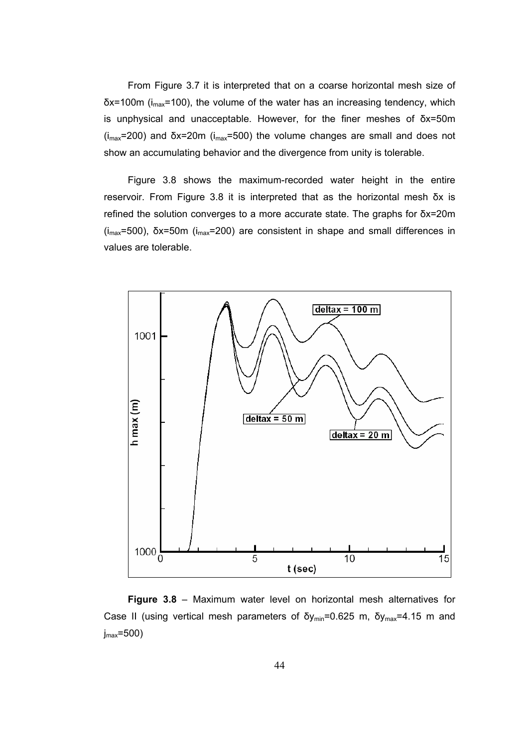From Figure 3.7 it is interpreted that on a coarse horizontal mesh size of  $\delta$ x=100m ( $i_{max}$ =100), the volume of the water has an increasing tendency, which is unphysical and unacceptable. However, for the finer meshes of δx=50m  $(i_{max}=200)$  and  $\delta x=20m$  ( $i_{max}=500$ ) the volume changes are small and does not show an accumulating behavior and the divergence from unity is tolerable.

Figure 3.8 shows the maximum-recorded water height in the entire reservoir. From Figure 3.8 it is interpreted that as the horizontal mesh δx is refined the solution converges to a more accurate state. The graphs for δx=20m (imax=500), δx=50m (imax=200) are consistent in shape and small differences in values are tolerable.



**Figure 3.8** – Maximum water level on horizontal mesh alternatives for Case II (using vertical mesh parameters of  $\delta y_{min}$ =0.625 m,  $\delta y_{max}$ =4.15 m and  $j_{max}$ =500)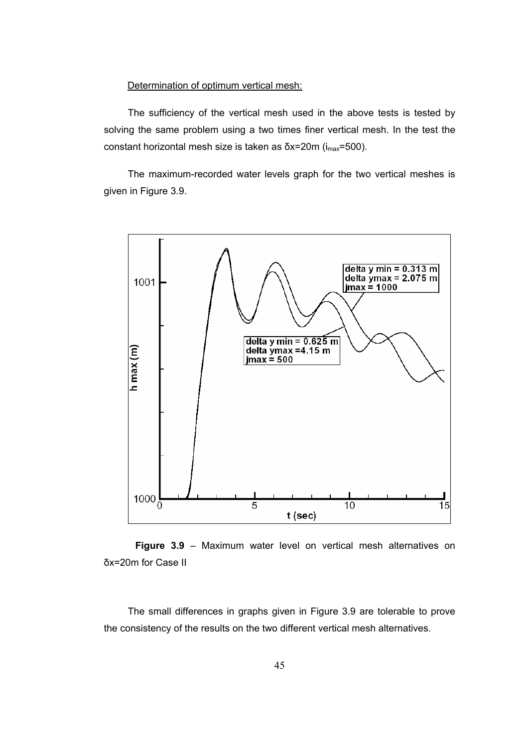## Determination of optimum vertical mesh:

The sufficiency of the vertical mesh used in the above tests is tested by solving the same problem using a two times finer vertical mesh. In the test the constant horizontal mesh size is taken as  $δx=20m$  ( $i<sub>max</sub>=500$ ).

The maximum-recorded water levels graph for the two vertical meshes is given in Figure 3.9.



 **Figure 3.9** – Maximum water level on vertical mesh alternatives on δx=20m for Case II

The small differences in graphs given in Figure 3.9 are tolerable to prove the consistency of the results on the two different vertical mesh alternatives.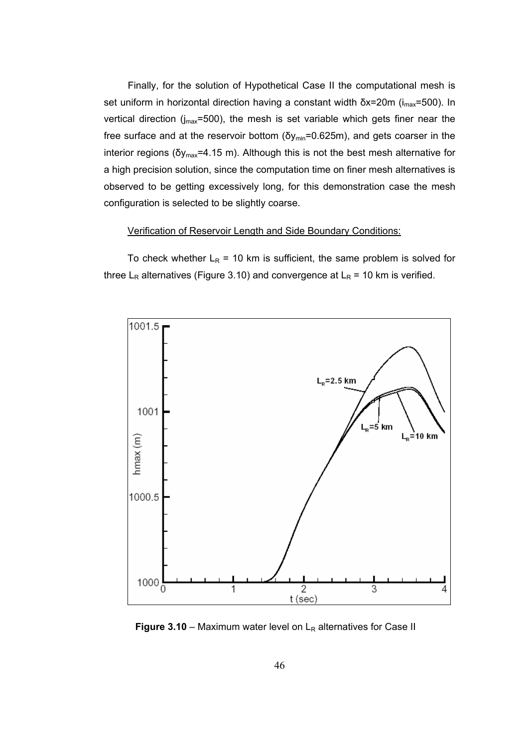Finally, for the solution of Hypothetical Case II the computational mesh is set uniform in horizontal direction having a constant width  $\delta x = 20$ m (i<sub>max</sub>=500). In vertical direction ( $j_{max}$ =500), the mesh is set variable which gets finer near the free surface and at the reservoir bottom ( $\delta y_{min}$ =0.625m), and gets coarser in the interior regions ( $\delta y_{max}$ =4.15 m). Although this is not the best mesh alternative for a high precision solution, since the computation time on finer mesh alternatives is observed to be getting excessively long, for this demonstration case the mesh configuration is selected to be slightly coarse.

## Verification of Reservoir Length and Side Boundary Conditions:

To check whether  $L_R$  = 10 km is sufficient, the same problem is solved for three L<sub>R</sub> alternatives (Figure 3.10) and convergence at L<sub>R</sub> = 10 km is verified.



**Figure 3.10** – Maximum water level on  $L<sub>R</sub>$  alternatives for Case II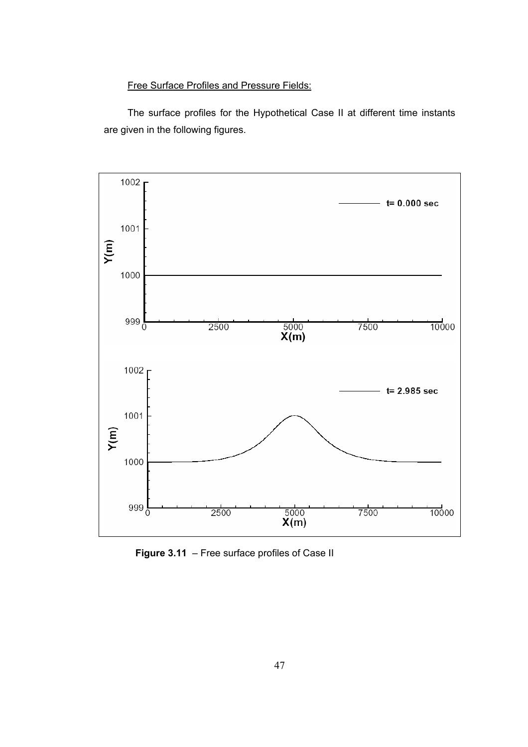## Free Surface Profiles and Pressure Fields:

The surface profiles for the Hypothetical Case II at different time instants are given in the following figures.



**Figure 3.11** – Free surface profiles of Case II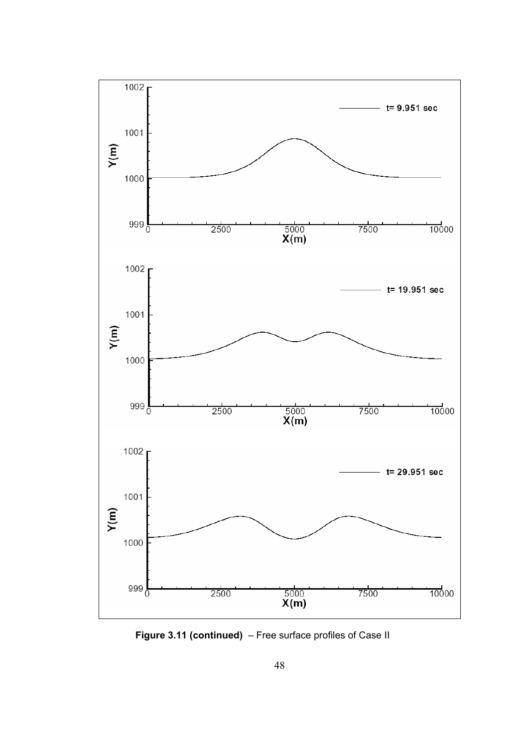

**Figure 3.11 (continued)** – Free surface profiles of Case II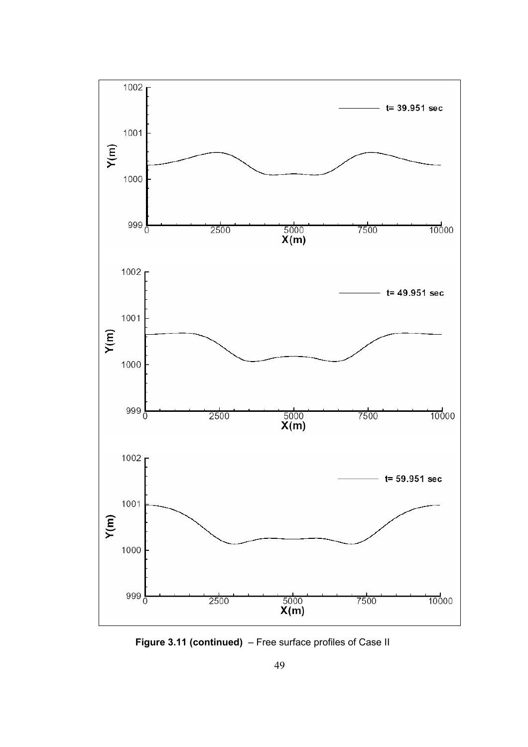

**Figure 3.11 (continued)** – Free surface profiles of Case II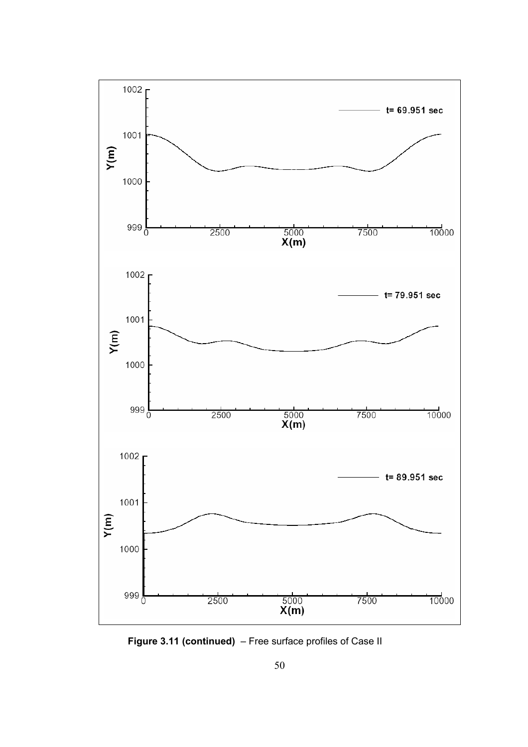

**Figure 3.11 (continued)** – Free surface profiles of Case II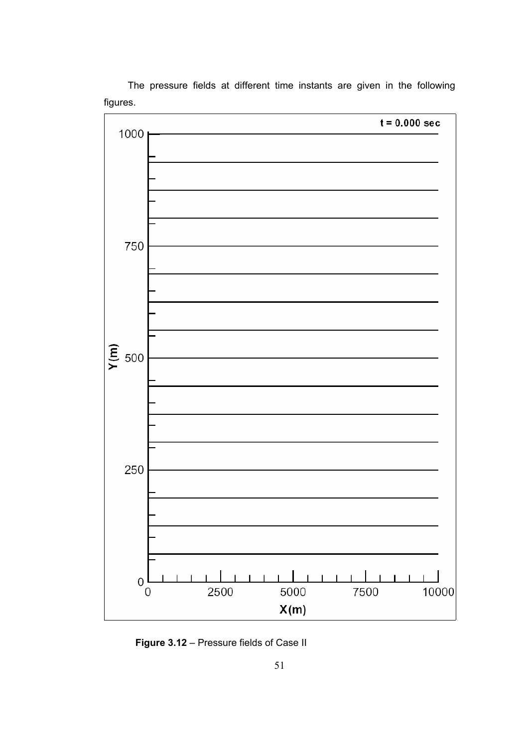

The pressure fields at different time instants are given in the following figures.

**Figure 3.12** – Pressure fields of Case II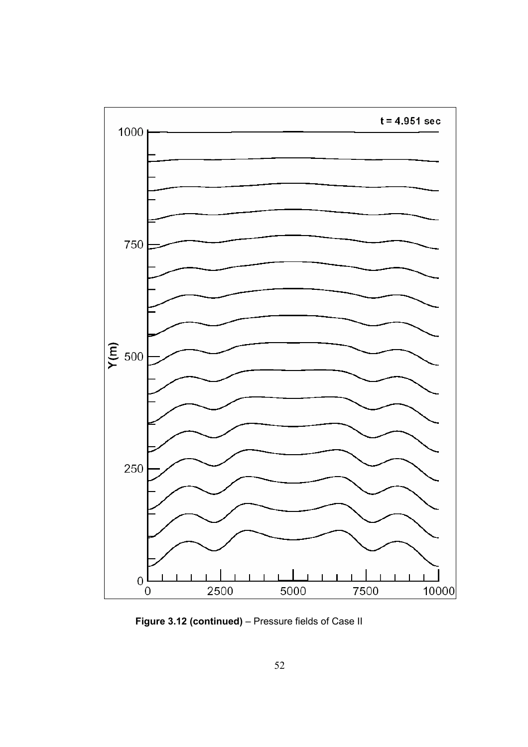

**Figure 3.12 (continued)** – Pressure fields of Case II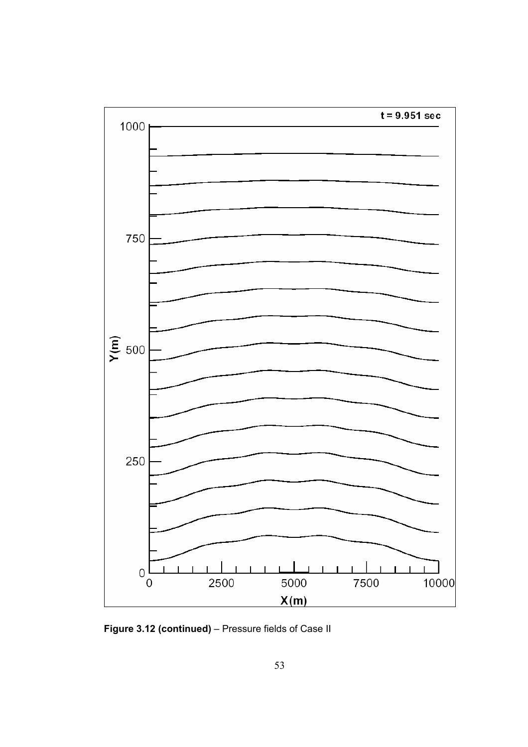

**Figure 3.12 (continued)** – Pressure fields of Case II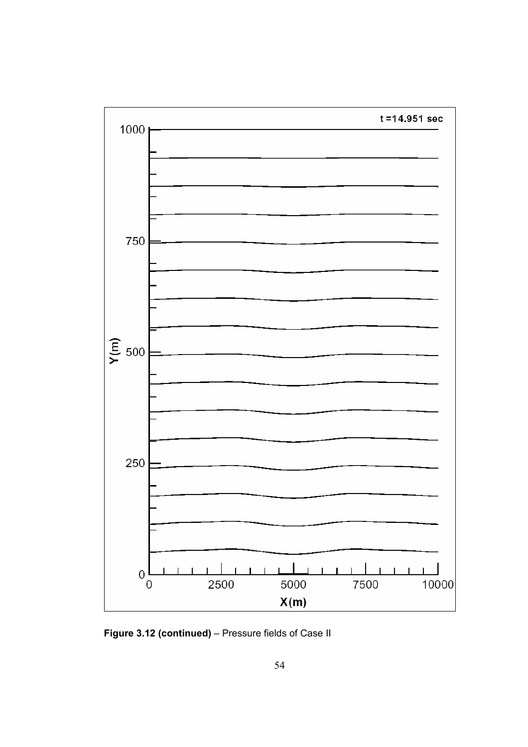

**Figure 3.12 (continued)** – Pressure fields of Case II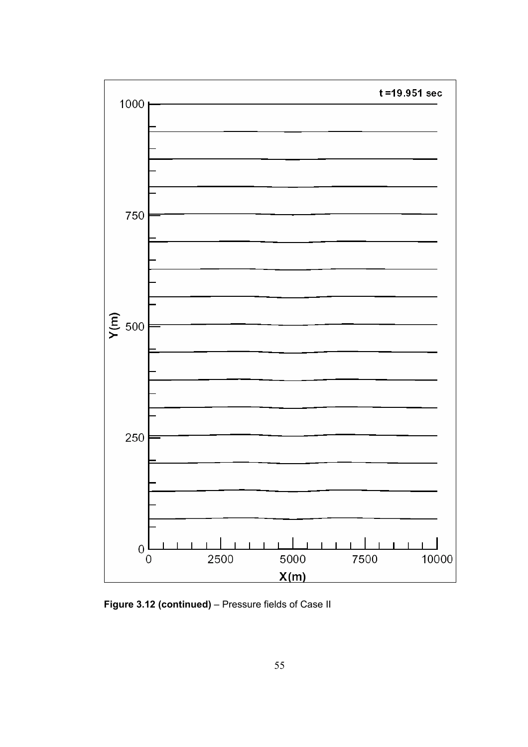

**Figure 3.12 (continued)** – Pressure fields of Case II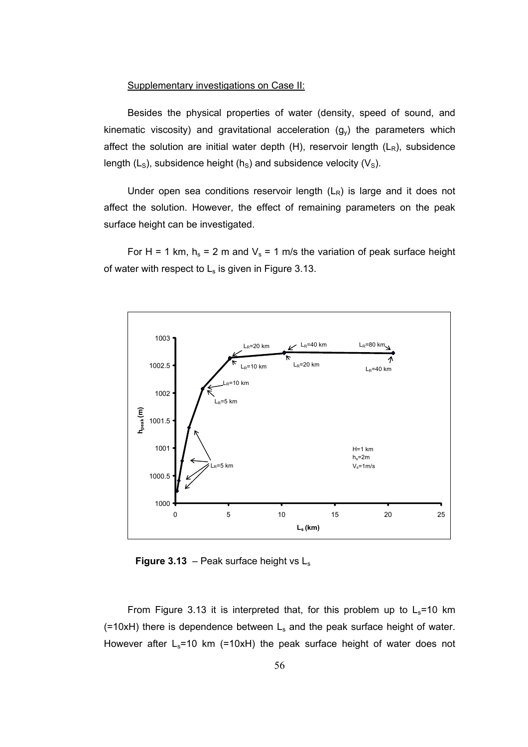#### Supplementary investigations on Case II:

Besides the physical properties of water (density, speed of sound, and kinematic viscosity) and gravitational acceleration  $(g_v)$  the parameters which affect the solution are initial water depth  $(H)$ , reservoir length  $(L_R)$ , subsidence length ( $L<sub>S</sub>$ ), subsidence height ( $h<sub>S</sub>$ ) and subsidence velocity ( $V<sub>S</sub>$ ).

Under open sea conditions reservoir length  $(L_R)$  is large and it does not affect the solution. However, the effect of remaining parameters on the peak surface height can be investigated.

For H = 1 km,  $h_s$  = 2 m and  $V_s$  = 1 m/s the variation of peak surface height of water with respect to  $L_s$  is given in Figure 3.13.



**Figure 3.13** – Peak surface height vs Ls

From Figure 3.13 it is interpreted that, for this problem up to  $L_s$ =10 km  $(=10xH)$  there is dependence between  $L<sub>s</sub>$  and the peak surface height of water. However after  $L_s$ =10 km (=10xH) the peak surface height of water does not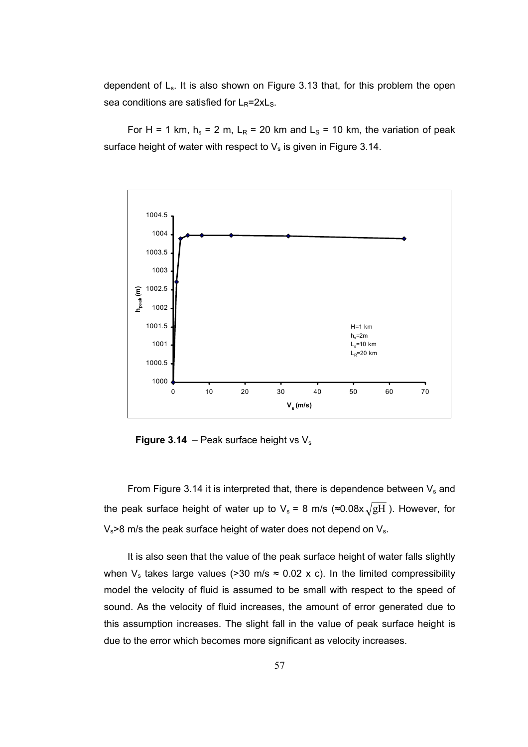dependent of Ls. It is also shown on Figure 3.13 that, for this problem the open sea conditions are satisfied for  $L_R = 2xL_S$ .

For H = 1 km,  $h_s$  = 2 m, L<sub>R</sub> = 20 km and L<sub>S</sub> = 10 km, the variation of peak surface height of water with respect to  $V_s$  is given in Figure 3.14.



**Figure 3.14** – Peak surface height vs  $V_s$ 

From Figure 3.14 it is interpreted that, there is dependence between  $V_s$  and the peak surface height of water up to  $V_s = 8$  m/s ( $\approx 0.08x \sqrt{gH}$ ). However, for  $V_s$  >8 m/s the peak surface height of water does not depend on  $V_s$ .

It is also seen that the value of the peak surface height of water falls slightly when  $V_s$  takes large values (>30 m/s  $\approx$  0.02 x c). In the limited compressibility model the velocity of fluid is assumed to be small with respect to the speed of sound. As the velocity of fluid increases, the amount of error generated due to this assumption increases. The slight fall in the value of peak surface height is due to the error which becomes more significant as velocity increases.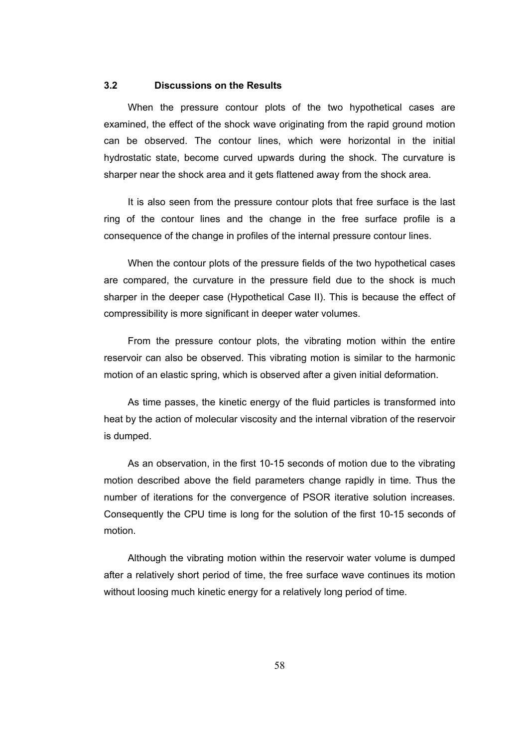## **3.2 Discussions on the Results**

When the pressure contour plots of the two hypothetical cases are examined, the effect of the shock wave originating from the rapid ground motion can be observed. The contour lines, which were horizontal in the initial hydrostatic state, become curved upwards during the shock. The curvature is sharper near the shock area and it gets flattened away from the shock area.

It is also seen from the pressure contour plots that free surface is the last ring of the contour lines and the change in the free surface profile is a consequence of the change in profiles of the internal pressure contour lines.

When the contour plots of the pressure fields of the two hypothetical cases are compared, the curvature in the pressure field due to the shock is much sharper in the deeper case (Hypothetical Case II). This is because the effect of compressibility is more significant in deeper water volumes.

From the pressure contour plots, the vibrating motion within the entire reservoir can also be observed. This vibrating motion is similar to the harmonic motion of an elastic spring, which is observed after a given initial deformation.

As time passes, the kinetic energy of the fluid particles is transformed into heat by the action of molecular viscosity and the internal vibration of the reservoir is dumped.

As an observation, in the first 10-15 seconds of motion due to the vibrating motion described above the field parameters change rapidly in time. Thus the number of iterations for the convergence of PSOR iterative solution increases. Consequently the CPU time is long for the solution of the first 10-15 seconds of motion.

Although the vibrating motion within the reservoir water volume is dumped after a relatively short period of time, the free surface wave continues its motion without loosing much kinetic energy for a relatively long period of time.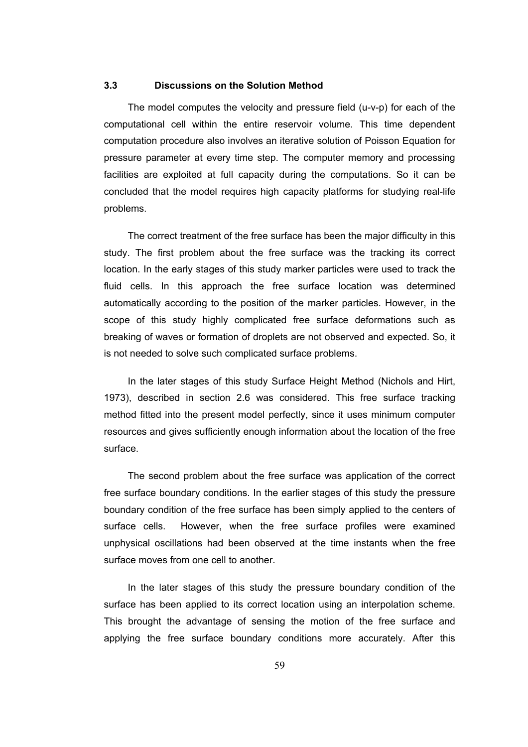## **3.3 Discussions on the Solution Method**

The model computes the velocity and pressure field (u-v-p) for each of the computational cell within the entire reservoir volume. This time dependent computation procedure also involves an iterative solution of Poisson Equation for pressure parameter at every time step. The computer memory and processing facilities are exploited at full capacity during the computations. So it can be concluded that the model requires high capacity platforms for studying real-life problems.

The correct treatment of the free surface has been the major difficulty in this study. The first problem about the free surface was the tracking its correct location. In the early stages of this study marker particles were used to track the fluid cells. In this approach the free surface location was determined automatically according to the position of the marker particles. However, in the scope of this study highly complicated free surface deformations such as breaking of waves or formation of droplets are not observed and expected. So, it is not needed to solve such complicated surface problems.

In the later stages of this study Surface Height Method (Nichols and Hirt, 1973), described in section 2.6 was considered. This free surface tracking method fitted into the present model perfectly, since it uses minimum computer resources and gives sufficiently enough information about the location of the free surface.

The second problem about the free surface was application of the correct free surface boundary conditions. In the earlier stages of this study the pressure boundary condition of the free surface has been simply applied to the centers of surface cells. However, when the free surface profiles were examined unphysical oscillations had been observed at the time instants when the free surface moves from one cell to another.

In the later stages of this study the pressure boundary condition of the surface has been applied to its correct location using an interpolation scheme. This brought the advantage of sensing the motion of the free surface and applying the free surface boundary conditions more accurately. After this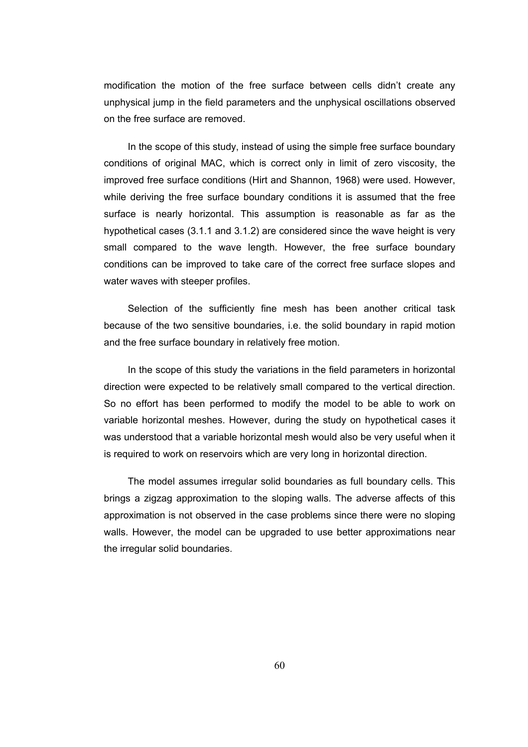modification the motion of the free surface between cells didn't create any unphysical jump in the field parameters and the unphysical oscillations observed on the free surface are removed.

In the scope of this study, instead of using the simple free surface boundary conditions of original MAC, which is correct only in limit of zero viscosity, the improved free surface conditions (Hirt and Shannon, 1968) were used. However, while deriving the free surface boundary conditions it is assumed that the free surface is nearly horizontal. This assumption is reasonable as far as the hypothetical cases (3.1.1 and 3.1.2) are considered since the wave height is very small compared to the wave length. However, the free surface boundary conditions can be improved to take care of the correct free surface slopes and water waves with steeper profiles.

Selection of the sufficiently fine mesh has been another critical task because of the two sensitive boundaries, i.e. the solid boundary in rapid motion and the free surface boundary in relatively free motion.

In the scope of this study the variations in the field parameters in horizontal direction were expected to be relatively small compared to the vertical direction. So no effort has been performed to modify the model to be able to work on variable horizontal meshes. However, during the study on hypothetical cases it was understood that a variable horizontal mesh would also be very useful when it is required to work on reservoirs which are very long in horizontal direction.

The model assumes irregular solid boundaries as full boundary cells. This brings a zigzag approximation to the sloping walls. The adverse affects of this approximation is not observed in the case problems since there were no sloping walls. However, the model can be upgraded to use better approximations near the irregular solid boundaries.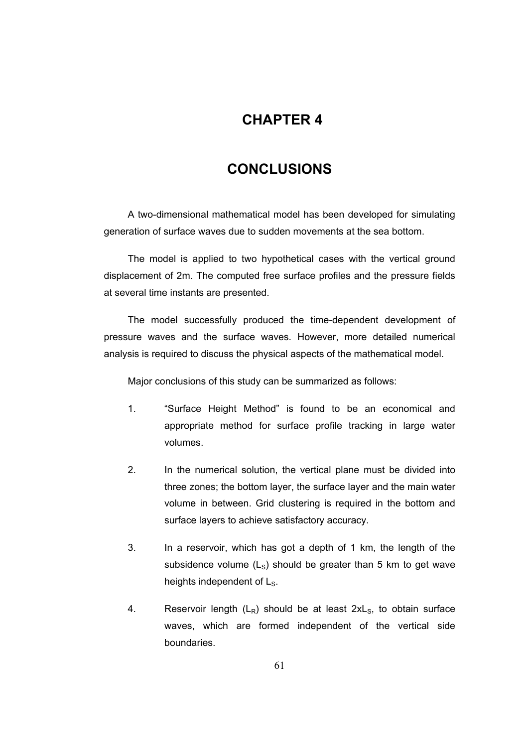## **4CHAPTER 4**

## **CONCLUSIONS**

A two-dimensional mathematical model has been developed for simulating generation of surface waves due to sudden movements at the sea bottom.

The model is applied to two hypothetical cases with the vertical ground displacement of 2m. The computed free surface profiles and the pressure fields at several time instants are presented.

The model successfully produced the time-dependent development of pressure waves and the surface waves. However, more detailed numerical analysis is required to discuss the physical aspects of the mathematical model.

Major conclusions of this study can be summarized as follows:

- 1. "Surface Height Method" is found to be an economical and appropriate method for surface profile tracking in large water volumes.
- 2. In the numerical solution, the vertical plane must be divided into three zones; the bottom layer, the surface layer and the main water volume in between. Grid clustering is required in the bottom and surface layers to achieve satisfactory accuracy.
- 3. In a reservoir, which has got a depth of 1 km, the length of the subsidence volume  $(L<sub>s</sub>)$  should be greater than 5 km to get wave heights independent of L<sub>S</sub>.
- 4. Reservoir length  $(L_R)$  should be at least  $2xL_S$ , to obtain surface waves, which are formed independent of the vertical side boundaries.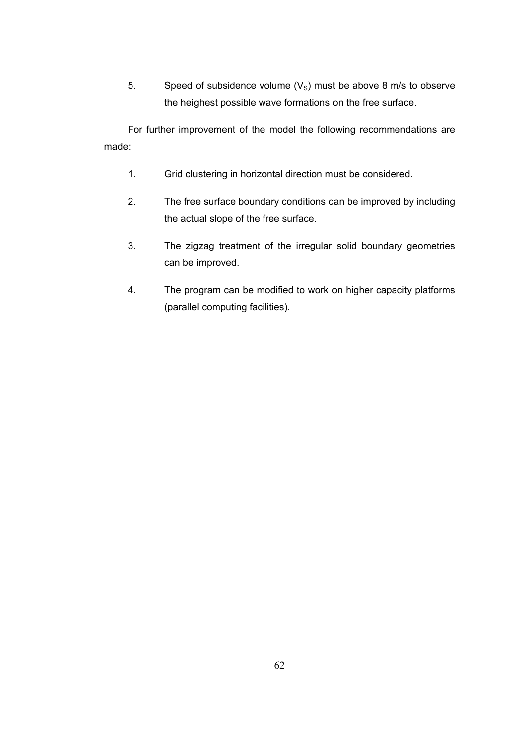5. Speed of subsidence volume  $(V<sub>S</sub>)$  must be above 8 m/s to observe the heighest possible wave formations on the free surface.

For further improvement of the model the following recommendations are made:

- 1. Grid clustering in horizontal direction must be considered.
- 2. The free surface boundary conditions can be improved by including the actual slope of the free surface.
- 3. The zigzag treatment of the irregular solid boundary geometries can be improved.
- 4. The program can be modified to work on higher capacity platforms (parallel computing facilities).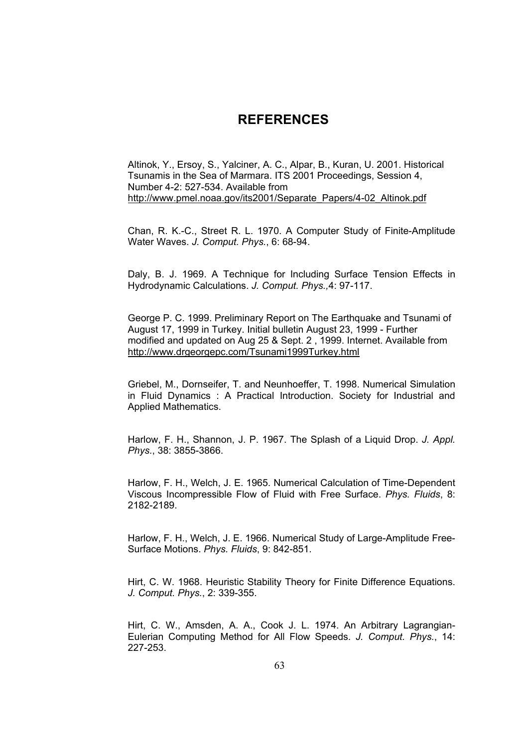## **5REFERENCES**

Altinok, Y., Ersoy, S., Yalciner, A. C., Alpar, B., Kuran, U. 2001. Historical Tsunamis in the Sea of Marmara. ITS 2001 Proceedings, Session 4, Number 4-2: 527-534. Available from http://www.pmel.noaa.gov/its2001/Separate\_Papers/4-02\_Altinok.pdf

Chan, R. K.-C., Street R. L. 1970. A Computer Study of Finite-Amplitude Water Waves. *J. Comput. Phys.*, 6: 68-94.

Daly, B. J. 1969. A Technique for Including Surface Tension Effects in Hydrodynamic Calculations. *J. Comput. Phys.,*4: 97-117.

George P. C. 1999. Preliminary Report on The Earthquake and Tsunami of August 17, 1999 in Turkey. Initial bulletin August 23, 1999 - Further modified and updated on Aug 25 & Sept. 2 , 1999. Internet. Available from http://www.drgeorgepc.com/Tsunami1999Turkey.html

Griebel, M., Dornseifer, T. and Neunhoeffer, T. 1998. Numerical Simulation in Fluid Dynamics : A Practical Introduction. Society for Industrial and Applied Mathematics.

Harlow, F. H., Shannon, J. P. 1967. The Splash of a Liquid Drop. *J. Appl. Phys.*, 38: 3855-3866.

Harlow, F. H., Welch, J. E. 1965. Numerical Calculation of Time-Dependent Viscous Incompressible Flow of Fluid with Free Surface. *Phys. Fluids*, 8: 2182-2189.

Harlow, F. H., Welch, J. E. 1966. Numerical Study of Large-Amplitude Free-Surface Motions. *Phys. Fluids*, 9: 842-851.

Hirt, C. W. 1968. Heuristic Stability Theory for Finite Difference Equations. *J. Comput. Phys.*, 2: 339-355.

Hirt, C. W., Amsden, A. A., Cook J. L. 1974. An Arbitrary Lagrangian-Eulerian Computing Method for All Flow Speeds. *J. Comput. Phys.*, 14: 227-253.